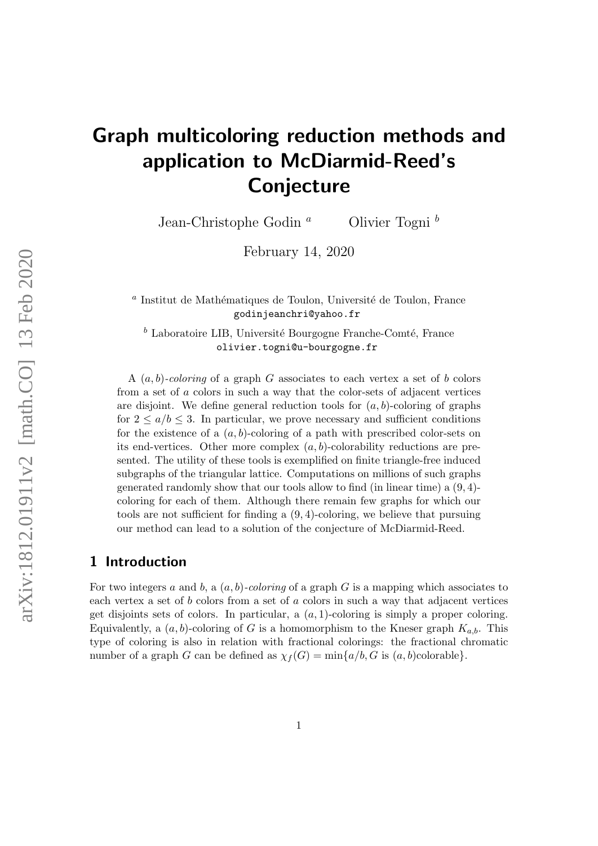# Graph multicoloring reduction methods and application to McDiarmid-Reed's Conjecture

Jean-Christophe Godin<sup>a</sup> Olivier Togni<sup>b</sup>

February 14, 2020

<sup>a</sup> Institut de Mathématiques de Toulon, Université de Toulon, France godinjeanchri@yahoo.fr

 $<sup>b</sup>$  Laboratoire LIB, Université Bourgogne Franche-Comté, France</sup> olivier.togni@u-bourgogne.fr

A  $(a, b)$ -coloring of a graph G associates to each vertex a set of b colors from a set of a colors in such a way that the color-sets of adjacent vertices are disjoint. We define general reduction tools for  $(a, b)$ -coloring of graphs for  $2 \leq a/b \leq 3$ . In particular, we prove necessary and sufficient conditions for the existence of a  $(a, b)$ -coloring of a path with prescribed color-sets on its end-vertices. Other more complex  $(a, b)$ -colorability reductions are presented. The utility of these tools is exemplified on finite triangle-free induced subgraphs of the triangular lattice. Computations on millions of such graphs generated randomly show that our tools allow to find (in linear time) a (9, 4) coloring for each of them. Although there remain few graphs for which our tools are not sufficient for finding a (9, 4)-coloring, we believe that pursuing our method can lead to a solution of the conjecture of McDiarmid-Reed.

## 1 Introduction

For two integers a and b, a  $(a, b)$ -coloring of a graph G is a mapping which associates to each vertex a set of b colors from a set of a colors in such a way that adjacent vertices get disjoints sets of colors. In particular, a  $(a, 1)$ -coloring is simply a proper coloring. Equivalently, a  $(a, b)$ -coloring of G is a homomorphism to the Kneser graph  $K_{a,b}$ . This type of coloring is also in relation with fractional colorings: the fractional chromatic number of a graph G can be defined as  $\chi_f(G) = \min\{a/b, G \text{ is } (a, b) \text{colorable}\}.$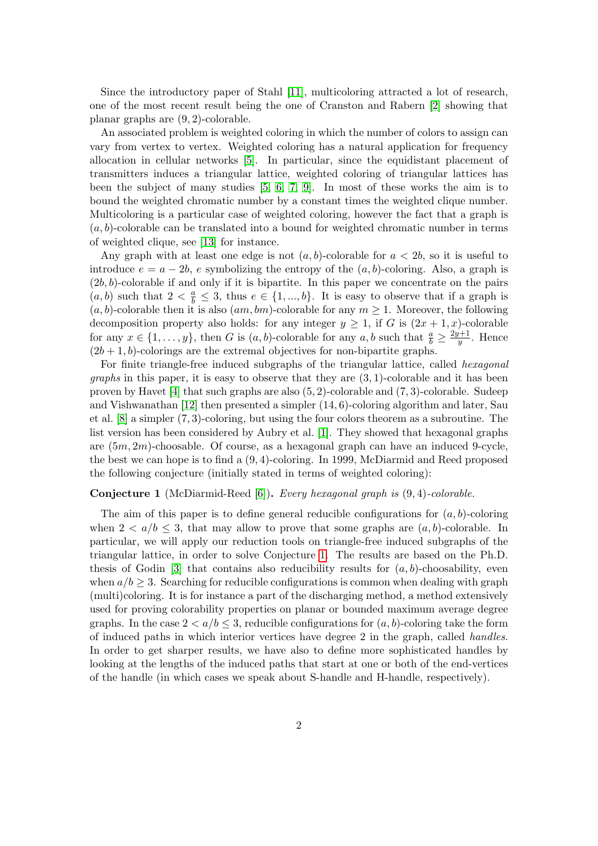Since the introductory paper of Stahl [\[11\]](#page-26-0), multicoloring attracted a lot of research, one of the most recent result being the one of Cranston and Rabern [\[2\]](#page-25-0) showing that planar graphs are (9, 2)-colorable.

An associated problem is weighted coloring in which the number of colors to assign can vary from vertex to vertex. Weighted coloring has a natural application for frequency allocation in cellular networks [\[5\]](#page-26-1). In particular, since the equidistant placement of transmitters induces a triangular lattice, weighted coloring of triangular lattices has been the subject of many studies [\[5,](#page-26-1) [6,](#page-26-2) [7,](#page-26-3) [9\]](#page-26-4). In most of these works the aim is to bound the weighted chromatic number by a constant times the weighted clique number. Multicoloring is a particular case of weighted coloring, however the fact that a graph is  $(a, b)$ -colorable can be translated into a bound for weighted chromatic number in terms of weighted clique, see [\[13\]](#page-26-5) for instance.

Any graph with at least one edge is not  $(a, b)$ -colorable for  $a < 2b$ , so it is useful to introduce  $e = a - 2b$ , e symbolizing the entropy of the  $(a, b)$ -coloring. Also, a graph is  $(2b, b)$ -colorable if and only if it is bipartite. In this paper we concentrate on the pairs  $(a, b)$  such that  $2 < \frac{a}{b} \leq 3$ , thus  $e \in \{1, ..., b\}$ . It is easy to observe that if a graph is  $(a, b)$ -colorable then it is also  $(am, bm)$ -colorable for any  $m \geq 1$ . Moreover, the following decomposition property also holds: for any integer  $y \ge 1$ , if G is  $(2x + 1, x)$ -colorable for any  $x \in \{1, \ldots, y\}$ , then G is  $(a, b)$ -colorable for any  $a, b$  such that  $\frac{a}{b} \ge \frac{2y+1}{y}$  $\frac{y+1}{y}$ . Hence  $(2b+1, b)$ -colorings are the extremal objectives for non-bipartite graphs.

For finite triangle-free induced subgraphs of the triangular lattice, called hexagonal *graphs* in this paper, it is easy to observe that they are  $(3, 1)$ -colorable and it has been proven by Havet [\[4\]](#page-26-6) that such graphs are also  $(5, 2)$ -colorable and  $(7, 3)$ -colorable. Sudeep and Vishwanathan  $[12]$  then presented a simpler  $(14, 6)$ -coloring algorithm and later, Sau et al. [\[8\]](#page-26-8) a simpler (7, 3)-coloring, but using the four colors theorem as a subroutine. The list version has been considered by Aubry et al. [\[1\]](#page-25-1). They showed that hexagonal graphs are (5m, 2m)-choosable. Of course, as a hexagonal graph can have an induced 9-cycle, the best we can hope is to find a (9, 4)-coloring. In 1999, McDiarmid and Reed proposed the following conjecture (initially stated in terms of weighted coloring):

#### <span id="page-1-0"></span>Conjecture 1 (McDiarmid-Reed [\[6\]](#page-26-2)). Every hexagonal graph is (9, 4)-colorable.

The aim of this paper is to define general reducible configurations for  $(a, b)$ -coloring when  $2 < a/b \leq 3$ , that may allow to prove that some graphs are  $(a, b)$ -colorable. In particular, we will apply our reduction tools on triangle-free induced subgraphs of the triangular lattice, in order to solve Conjecture [1.](#page-1-0) The results are based on the Ph.D. thesis of Godin [\[3\]](#page-26-9) that contains also reducibility results for  $(a, b)$ -choosability, even when  $a/b \geq 3$ . Searching for reducible configurations is common when dealing with graph (multi)coloring. It is for instance a part of the discharging method, a method extensively used for proving colorability properties on planar or bounded maximum average degree graphs. In the case  $2 < a/b < 3$ , reducible configurations for  $(a, b)$ -coloring take the form of induced paths in which interior vertices have degree 2 in the graph, called handles. In order to get sharper results, we have also to define more sophisticated handles by looking at the lengths of the induced paths that start at one or both of the end-vertices of the handle (in which cases we speak about S-handle and H-handle, respectively).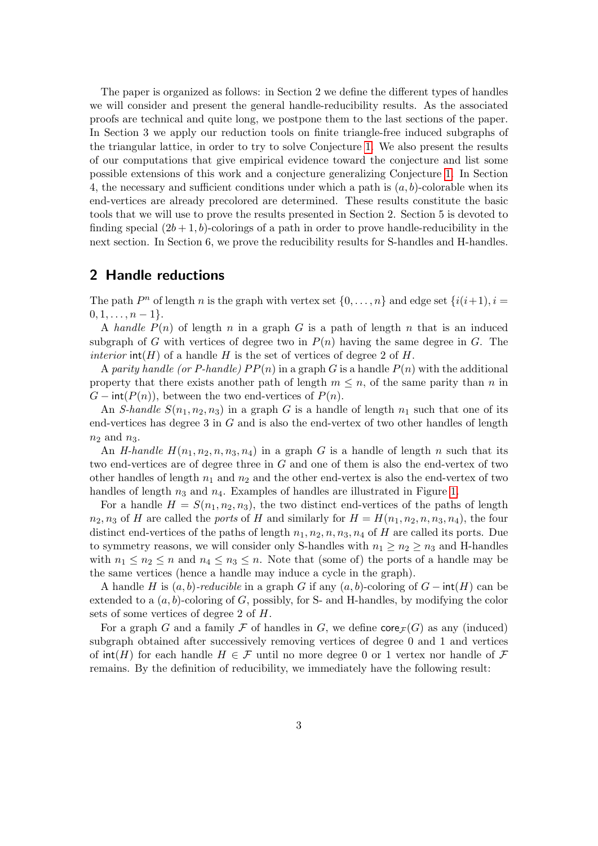The paper is organized as follows: in Section 2 we define the different types of handles we will consider and present the general handle-reducibility results. As the associated proofs are technical and quite long, we postpone them to the last sections of the paper. In Section 3 we apply our reduction tools on finite triangle-free induced subgraphs of the triangular lattice, in order to try to solve Conjecture [1.](#page-1-0) We also present the results of our computations that give empirical evidence toward the conjecture and list some possible extensions of this work and a conjecture generalizing Conjecture [1.](#page-1-0) In Section 4, the necessary and sufficient conditions under which a path is  $(a, b)$ -colorable when its end-vertices are already precolored are determined. These results constitute the basic tools that we will use to prove the results presented in Section 2. Section 5 is devoted to finding special  $(2b+1, b)$ -colorings of a path in order to prove handle-reducibility in the next section. In Section 6, we prove the reducibility results for S-handles and H-handles.

## <span id="page-2-0"></span>2 Handle reductions

The path  $P^n$  of length n is the graph with vertex set  $\{0, \ldots, n\}$  and edge set  $\{i(i+1), i =$  $0, 1, \ldots, n-1$ .

A handle  $P(n)$  of length n in a graph G is a path of length n that is an induced subgraph of G with vertices of degree two in  $P(n)$  having the same degree in G. The *interior*  $int(H)$  of a handle H is the set of vertices of degree 2 of H.

A parity handle (or P-handle)  $PP(n)$  in a graph G is a handle  $P(n)$  with the additional property that there exists another path of length  $m \leq n$ , of the same parity than n in  $G$  – int( $P(n)$ ), between the two end-vertices of  $P(n)$ .

An S-handle  $S(n_1, n_2, n_3)$  in a graph G is a handle of length  $n_1$  such that one of its end-vertices has degree 3 in G and is also the end-vertex of two other handles of length  $n_2$  and  $n_3$ .

An H-handle  $H(n_1, n_2, n, n_3, n_4)$  in a graph G is a handle of length n such that its two end-vertices are of degree three in G and one of them is also the end-vertex of two other handles of length  $n_1$  and  $n_2$  and the other end-vertex is also the end-vertex of two handles of length  $n_3$  and  $n_4$ . Examples of handles are illustrated in Figure [1.](#page-3-0)

For a handle  $H = S(n_1, n_2, n_3)$ , the two distinct end-vertices of the paths of length  $n_2, n_3$  of H are called the ports of H and similarly for  $H = H(n_1, n_2, n, n_3, n_4)$ , the four distinct end-vertices of the paths of length  $n_1, n_2, n, n_3, n_4$  of H are called its ports. Due to symmetry reasons, we will consider only S-handles with  $n_1 \geq n_2 \geq n_3$  and H-handles with  $n_1 \leq n_2 \leq n$  and  $n_4 \leq n_3 \leq n$ . Note that (some of) the ports of a handle may be the same vertices (hence a handle may induce a cycle in the graph).

A handle H is  $(a, b)$ -reducible in a graph G if any  $(a, b)$ -coloring of  $G$  – int(H) can be extended to a  $(a, b)$ -coloring of G, possibly, for S- and H-handles, by modifying the color sets of some vertices of degree 2 of H.

For a graph G and a family F of handles in G, we define  $\text{core}_{\mathcal{F}}(G)$  as any (induced) subgraph obtained after successively removing vertices of degree 0 and 1 and vertices of  $\text{int}(H)$  for each handle  $H \in \mathcal{F}$  until no more degree 0 or 1 vertex nor handle of  $\mathcal{F}$ remains. By the definition of reducibility, we immediately have the following result: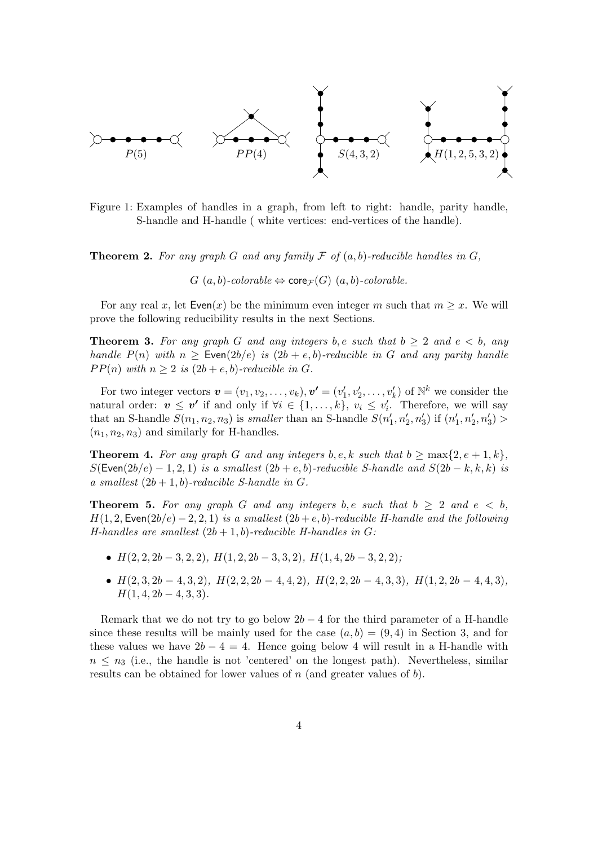

<span id="page-3-0"></span>Figure 1: Examples of handles in a graph, from left to right: handle, parity handle, S-handle and H-handle ( white vertices: end-vertices of the handle).

**Theorem 2.** For any graph G and any family F of  $(a, b)$ -reducible handles in G,

 $G(a, b)$ -colorable  $\Leftrightarrow$  core  $\tau(G)$   $(a, b)$ -colorable.

For any real x, let  $\mathsf{Even}(x)$  be the minimum even integer m such that  $m \geq x$ . We will prove the following reducibility results in the next Sections.

<span id="page-3-1"></span>**Theorem 3.** For any graph G and any integers b, e such that  $b \geq 2$  and  $e < b$ , any handle  $P(n)$  with  $n \geq$  Even $(2b/e)$  is  $(2b + e, b)$ -reducible in G and any parity handle  $PP(n)$  with  $n \geq 2$  is  $(2b + e, b)$ -reducible in G.

For two integer vectors  $\mathbf{v} = (v_1, v_2, \dots, v_k), \mathbf{v'} = (v'_1, v'_2, \dots, v'_k)$  of  $\mathbb{N}^k$  we consider the natural order:  $v \leq v'$  if and only if  $\forall i \in \{1, ..., k\}$ ,  $v_i \leq v'_i$ . Therefore, we will say that an S-handle  $S(n_1, n_2, n_3)$  is smaller than an S-handle  $S(n'_1, n'_2, n'_3)$  if  $(n'_1, n'_2, n'_3)$  $(n_1, n_2, n_3)$  and similarly for H-handles.

<span id="page-3-2"></span>**Theorem 4.** For any graph G and any integers b, e, k such that  $b \ge \max\{2, e + 1, k\}$ ,  $S(\text{Even}(2b/e) - 1, 2, 1)$  is a smallest  $(2b + e, b)$ -reducible S-handle and  $S(2b - k, k, k)$  is a smallest  $(2b + 1, b)$ -reducible S-handle in G.

<span id="page-3-3"></span>**Theorem 5.** For any graph G and any integers b, e such that  $b \geq 2$  and  $e < b$ ,  $H(1, 2, \text{Even}(2b/e) - 2, 2, 1)$  is a smallest  $(2b + e, b)$ -reducible H-handle and the following H-handles are smallest  $(2b + 1, b)$ -reducible H-handles in G:

- $H(2, 2, 2b-3, 2, 2), H(1, 2, 2b-3, 3, 2), H(1, 4, 2b-3, 2, 2);$
- $H(2,3,2b-4,3,2), H(2,2,2b-4,4,2), H(2,2,2b-4,3,3), H(1,2,2b-4,4,3),$  $H(1, 4, 2b - 4, 3, 3).$

Remark that we do not try to go below  $2b - 4$  for the third parameter of a H-handle since these results will be mainly used for the case  $(a, b) = (9, 4)$  in Section 3, and for these values we have  $2b - 4 = 4$ . Hence going below 4 will result in a H-handle with  $n \leq n_3$  (i.e., the handle is not 'centered' on the longest path). Nevertheless, similar results can be obtained for lower values of  $n$  (and greater values of  $b$ ).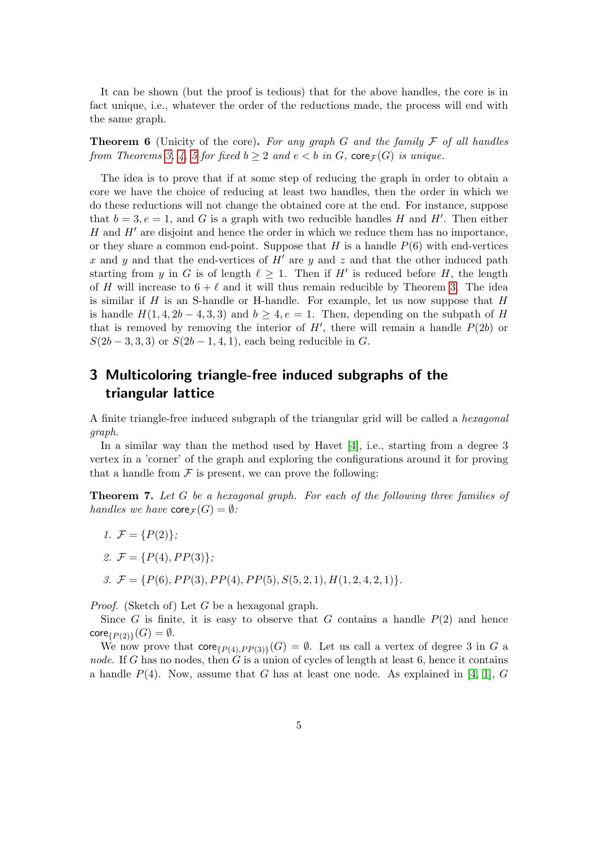It can be shown (but the proof is tedious) that for the above handles, the core is in fact unique, i.e., whatever the order of the reductions made, the process will end with the same graph.

**Theorem 6** (Unicity of the core). For any graph G and the family  $\mathcal F$  of all handles from Theorems [3,](#page-3-1) [4,](#page-3-2) [5](#page-3-3) for fixed  $b \geq 2$  and  $e < b$  in G, core  $\mathcal{F}(G)$  is unique.

The idea is to prove that if at some step of reducing the graph in order to obtain a core we have the choice of reducing at least two handles, then the order in which we do these reductions will not change the obtained core at the end. For instance, suppose that  $b = 3, e = 1$ , and G is a graph with two reducible handles H and H'. Then either H and  $H'$  are disjoint and hence the order in which we reduce them has no importance, or they share a common end-point. Suppose that  $H$  is a handle  $P(6)$  with end-vertices x and y and that the end-vertices of  $H'$  are y and z and that the other induced path starting from y in G is of length  $\ell \geq 1$ . Then if H' is reduced before H, the length of H will increase to  $6 + \ell$  and it will thus remain reducible by Theorem [3.](#page-3-1) The idea is similar if  $H$  is an S-handle or H-handle. For example, let us now suppose that  $H$ is handle  $H(1, 4, 2b - 4, 3, 3)$  and  $b \ge 4, e = 1$ . Then, depending on the subpath of H that is removed by removing the interior of  $H'$ , there will remain a handle  $P(2b)$  or  $S(2b-3,3,3)$  or  $S(2b-1,4,1)$ , each being reducible in G.

# 3 Multicoloring triangle-free induced subgraphs of the triangular lattice

A finite triangle-free induced subgraph of the triangular grid will be called a hexagonal graph.

In a similar way than the method used by Havet [\[4\]](#page-26-6), i.e., starting from a degree 3 vertex in a 'corner' of the graph and exploring the configurations around it for proving that a handle from  $\mathcal F$  is present, we can prove the following:

<span id="page-4-0"></span>Theorem 7. Let G be a hexagonal graph. For each of the following three families of handles we have  $\text{core}_{\mathcal{F}}(G) = \emptyset$ :

- 1.  $\mathcal{F} = \{P(2)\};$
- 2.  $\mathcal{F} = \{P(4), PP(3)\};$
- 3.  $\mathcal{F} = \{P(6), PP(3), PP(4), PP(5), S(5, 2, 1), H(1, 2, 4, 2, 1)\}.$

*Proof.* (Sketch of) Let G be a hexagonal graph.

Since G is finite, it is easy to observe that G contains a handle  $P(2)$  and hence  $\mathsf{core}_{\{P(2)\}}(G)=\emptyset.$ 

We now prove that  $\mathsf{core}_{\{P(4),PP(3)\}}(G) = \emptyset$ . Let us call a vertex of degree 3 in G a node. If G has no nodes, then  $G$  is a union of cycles of length at least 6, hence it contains a handle  $P(4)$ . Now, assume that G has at least one node. As explained in [\[4,](#page-26-6) [1\]](#page-25-1), G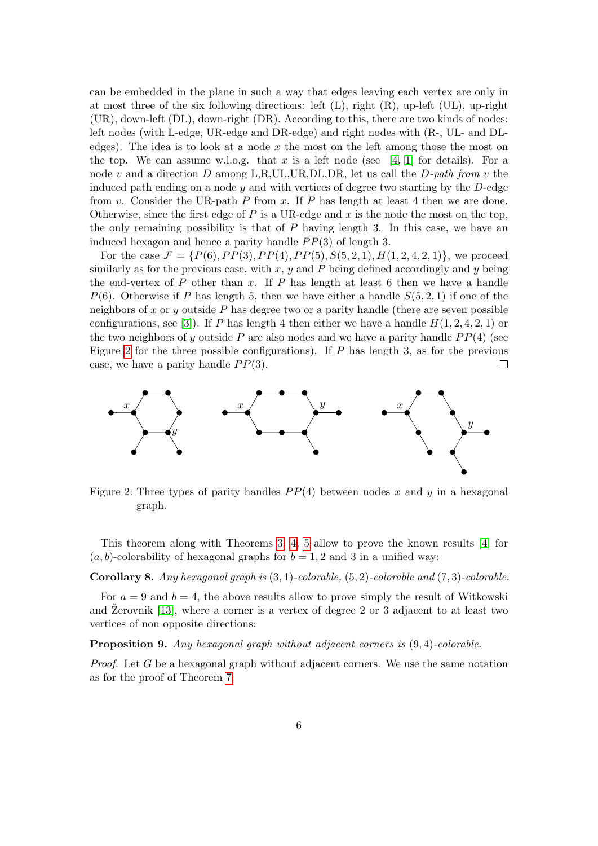can be embedded in the plane in such a way that edges leaving each vertex are only in at most three of the six following directions: left  $(L)$ , right  $(R)$ , up-left  $(UL)$ , up-right (UR), down-left (DL), down-right (DR). According to this, there are two kinds of nodes: left nodes (with L-edge, UR-edge and DR-edge) and right nodes with (R-, UL- and DLedges). The idea is to look at a node  $x$  the most on the left among those the most on the top. We can assume w.l.o.g. that x is a left node (see [\[4,](#page-26-6) [1\]](#page-25-1) for details). For a node v and a direction D among L,R,UL,UR,DL,DR, let us call the D-path from v the induced path ending on a node  $y$  and with vertices of degree two starting by the  $D$ -edge from v. Consider the UR-path  $P$  from x. If  $P$  has length at least 4 then we are done. Otherwise, since the first edge of  $P$  is a UR-edge and  $x$  is the node the most on the top, the only remaining possibility is that of  $P$  having length 3. In this case, we have an induced hexagon and hence a parity handle  $PP(3)$  of length 3.

For the case  $\mathcal{F} = \{P(6), PP(3), PP(4), PP(5), S(5, 2, 1), H(1, 2, 4, 2, 1)\}\,$ , we proceed similarly as for the previous case, with  $x, y$  and  $P$  being defined accordingly and  $y$  being the end-vertex of  $P$  other than  $x$ . If  $P$  has length at least 6 then we have a handle  $P(6)$ . Otherwise if P has length 5, then we have either a handle  $S(5, 2, 1)$  if one of the neighbors of x or y outside  $P$  has degree two or a parity handle (there are seven possible configurations, see [\[3\]](#page-26-9)). If P has length 4 then either we have a handle  $H(1, 2, 4, 2, 1)$  or the two neighbors of y outside P are also nodes and we have a parity handle  $PP(4)$  (see Figure [2](#page-5-0) for the three possible configurations). If  $P$  has length 3, as for the previous case, we have a parity handle  $PP(3)$ .  $\Box$ 



<span id="page-5-0"></span>Figure 2: Three types of parity handles  $PP(4)$  between nodes x and y in a hexagonal graph.

This theorem along with Theorems [3,](#page-3-1) [4,](#page-3-2) [5](#page-3-3) allow to prove the known results [\[4\]](#page-26-6) for  $(a, b)$ -colorability of hexagonal graphs for  $b = 1, 2$  and 3 in a unified way:

**Corollary 8.** Any hexagonal graph is  $(3, 1)$ -colorable,  $(5, 2)$ -colorable and  $(7, 3)$ -colorable.

For  $a = 9$  and  $b = 4$ , the above results allow to prove simply the result of Witkowski and Žerovnik  $[13]$ , where a corner is a vertex of degree 2 or 3 adjacent to at least two vertices of non opposite directions:

Proposition 9. Any hexagonal graph without adjacent corners is  $(9, 4)$ -colorable.

*Proof.* Let G be a hexagonal graph without adjacent corners. We use the same notation as for the proof of Theorem [7.](#page-4-0)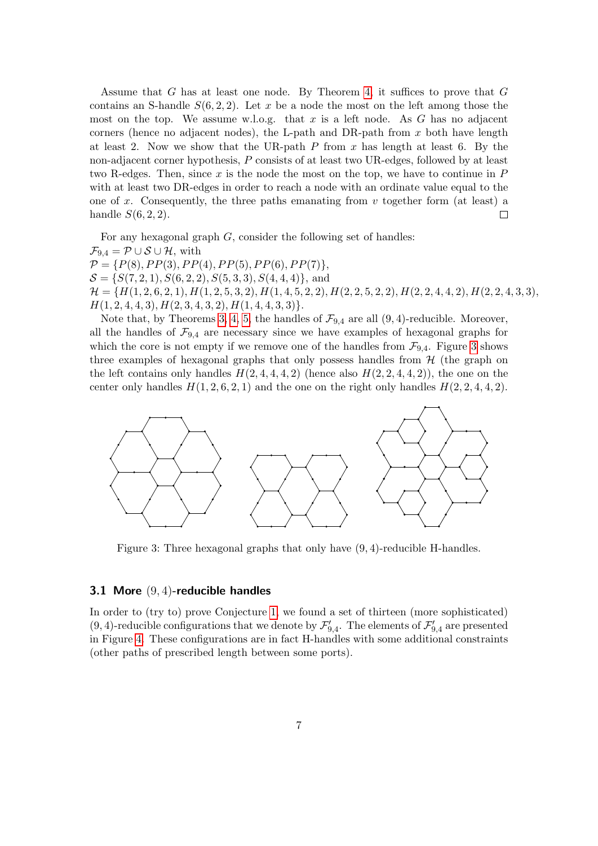Assume that  $G$  has at least one node. By Theorem [4,](#page-3-2) it suffices to prove that  $G$ contains an S-handle  $S(6, 2, 2)$ . Let x be a node the most on the left among those the most on the top. We assume w.l.o.g. that x is a left node. As  $G$  has no adjacent corners (hence no adjacent nodes), the L-path and DR-path from  $x$  both have length at least 2. Now we show that the UR-path  $P$  from  $x$  has length at least 6. By the non-adjacent corner hypothesis, P consists of at least two UR-edges, followed by at least two R-edges. Then, since x is the node the most on the top, we have to continue in  $P$ with at least two DR-edges in order to reach a node with an ordinate value equal to the one of x. Consequently, the three paths emanating from  $v$  together form (at least) a handle  $S(6, 2, 2)$ .  $\Box$ 

For any hexagonal graph  $G$ , consider the following set of handles:  $\mathcal{F}_{9,4} = \mathcal{P} \cup \mathcal{S} \cup \mathcal{H}$ , with  $\mathcal{P} = \{P(8), PP(3), PP(4), PP(5), PP(6), PP(7)\},\$  $S = \{S(7, 2, 1), S(6, 2, 2), S(5, 3, 3), S(4, 4, 4)\}\$ , and  $\mathcal{H} = \{H(1, 2, 6, 2, 1), H(1, 2, 5, 3, 2), H(1, 4, 5, 2, 2), H(2, 2, 5, 2, 2), H(2, 2, 4, 4, 2), H(2, 2, 4, 3, 3),\}$  $H(1, 2, 4, 4, 3), H(2, 3, 4, 3, 2), H(1, 4, 4, 3, 3)\}.$ 

Note that, by Theorems [3,](#page-3-1) [4,](#page-3-2) [5,](#page-3-3) the handles of  $\mathcal{F}_{9,4}$  are all  $(9,4)$ -reducible. Moreover, all the handles of  $\mathcal{F}_{9,4}$  are necessary since we have examples of hexagonal graphs for which the core is not empty if we remove one of the handles from  $\mathcal{F}_{9,4}$ . Figure [3](#page-6-0) shows three examples of hexagonal graphs that only possess handles from  $H$  (the graph on the left contains only handles  $H(2, 4, 4, 4, 2)$  (hence also  $H(2, 2, 4, 4, 2)$ ), the one on the center only handles  $H(1, 2, 6, 2, 1)$  and the one on the right only handles  $H(2, 2, 4, 4, 2)$ .



<span id="page-6-0"></span>Figure 3: Three hexagonal graphs that only have (9, 4)-reducible H-handles.

### 3.1 More (9, 4)-reducible handles

In order to (try to) prove Conjecture [1,](#page-1-0) we found a set of thirteen (more sophisticated) (9, 4)-reducible configurations that we denote by  $\mathcal{F}'_{9,4}$ . The elements of  $\mathcal{F}'_{9,4}$  are presented in Figure [4.](#page-8-0) These configurations are in fact H-handles with some additional constraints (other paths of prescribed length between some ports).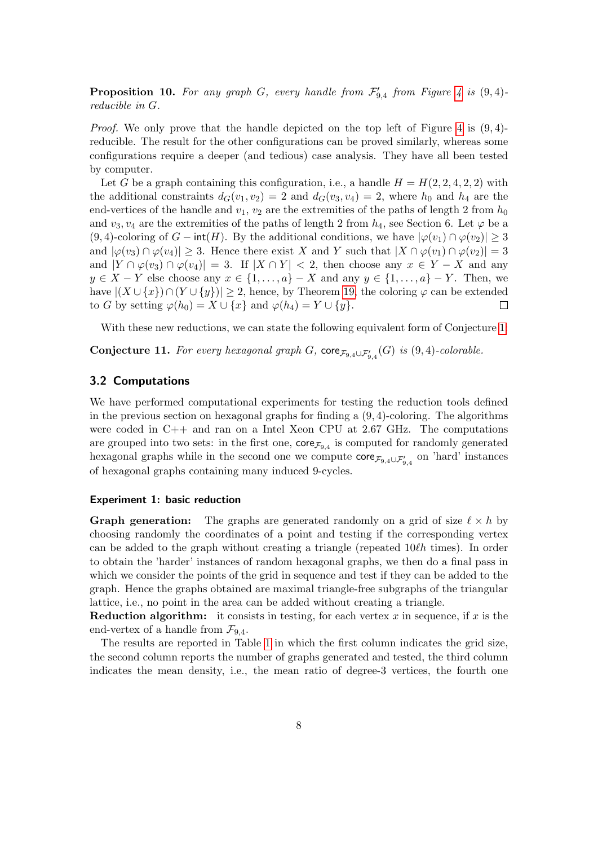**Proposition 10.** For any graph G, every handle from  $\mathcal{F}'_{9,4}$  from Figure [4](#page-8-0) is  $(9,4)$ reducible in G.

*Proof.* We only prove that the handle depicted on the top left of Figure [4](#page-8-0) is  $(9, 4)$ reducible. The result for the other configurations can be proved similarly, whereas some configurations require a deeper (and tedious) case analysis. They have all been tested by computer.

Let G be a graph containing this configuration, i.e., a handle  $H = H(2, 2, 4, 2, 2)$  with the additional constraints  $d_G(v_1, v_2) = 2$  and  $d_G(v_3, v_4) = 2$ , where  $h_0$  and  $h_4$  are the end-vertices of the handle and  $v_1, v_2$  are the extremities of the paths of length 2 from  $h_0$ and  $v_3, v_4$  are the extremities of the paths of length 2 from  $h_4$ , see Section 6. Let  $\varphi$  be a (9, 4)-coloring of  $G$  – int(H). By the additional conditions, we have  $|\varphi(v_1) \cap \varphi(v_2)| \geq 3$ and  $|\varphi(v_3) \cap \varphi(v_4)| \geq 3$ . Hence there exist X and Y such that  $|X \cap \varphi(v_1) \cap \varphi(v_2)| = 3$ and  $|Y \cap \varphi(v_3) \cap \varphi(v_4)| = 3$ . If  $|X \cap Y| < 2$ , then choose any  $x \in Y - X$  and any  $y \in X - Y$  else choose any  $x \in \{1, \ldots, a\} - X$  and any  $y \in \{1, \ldots, a\} - Y$ . Then, we have  $|(X \cup \{x\}) \cap (Y \cup \{y\})| \geq 2$ , hence, by Theorem [19,](#page-13-0) the coloring  $\varphi$  can be extended to G by setting  $\varphi(h_0) = X \cup \{x\}$  and  $\varphi(h_4) = Y \cup \{y\}.$  $\Box$ 

With these new reductions, we can state the following equivalent form of Conjecture [1:](#page-1-0)

**Conjecture 11.** For every hexagonal graph G,  $\text{core}_{\mathcal{F}_{9,4} \cup \mathcal{F}'_{9,4}}(G)$  is  $(9,4)$ -colorable.

#### 3.2 Computations

We have performed computational experiments for testing the reduction tools defined in the previous section on hexagonal graphs for finding a  $(9, 4)$ -coloring. The algorithms were coded in C++ and ran on a Intel Xeon CPU at 2.67 GHz. The computations are grouped into two sets: in the first one,  $\text{core}_{\mathcal{F}_{9,4}}$  is computed for randomly generated hexagonal graphs while in the second one we compute  $\text{core}_{\mathcal{F}_{9,4}\cup\mathcal{F}_{9,4}'}$  on 'hard' instances of hexagonal graphs containing many induced 9-cycles.

#### Experiment 1: basic reduction

**Graph generation:** The graphs are generated randomly on a grid of size  $\ell \times h$  by choosing randomly the coordinates of a point and testing if the corresponding vertex can be added to the graph without creating a triangle (repeated  $10\ell h$  times). In order to obtain the 'harder' instances of random hexagonal graphs, we then do a final pass in which we consider the points of the grid in sequence and test if they can be added to the graph. Hence the graphs obtained are maximal triangle-free subgraphs of the triangular lattice, i.e., no point in the area can be added without creating a triangle.

**Reduction algorithm:** it consists in testing, for each vertex x in sequence, if x is the end-vertex of a handle from  $\mathcal{F}_{9,4}$ .

The results are reported in Table [1](#page-9-0) in which the first column indicates the grid size, the second column reports the number of graphs generated and tested, the third column indicates the mean density, i.e., the mean ratio of degree-3 vertices, the fourth one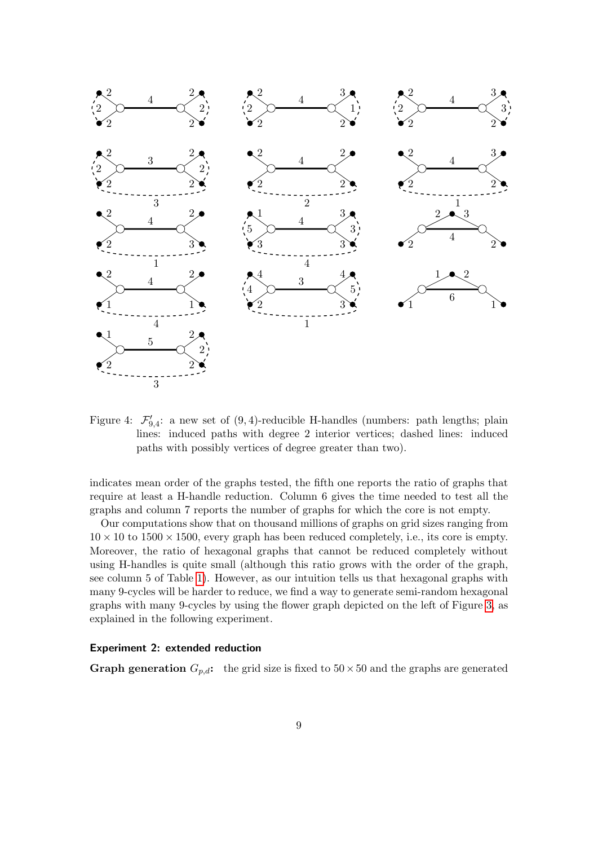

<span id="page-8-0"></span>Figure 4:  $\mathcal{F}'_{9,4}$ : a new set of  $(9,4)$ -reducible H-handles (numbers: path lengths; plain lines: induced paths with degree 2 interior vertices; dashed lines: induced paths with possibly vertices of degree greater than two).

indicates mean order of the graphs tested, the fifth one reports the ratio of graphs that require at least a H-handle reduction. Column 6 gives the time needed to test all the graphs and column 7 reports the number of graphs for which the core is not empty.

Our computations show that on thousand millions of graphs on grid sizes ranging from  $10 \times 10$  to  $1500 \times 1500$ , every graph has been reduced completely, i.e., its core is empty. Moreover, the ratio of hexagonal graphs that cannot be reduced completely without using H-handles is quite small (although this ratio grows with the order of the graph, see column 5 of Table [1\)](#page-9-0). However, as our intuition tells us that hexagonal graphs with many 9-cycles will be harder to reduce, we find a way to generate semi-random hexagonal graphs with many 9-cycles by using the flower graph depicted on the left of Figure [3,](#page-6-0) as explained in the following experiment.

## Experiment 2: extended reduction

**Graph generation**  $G_{p,d}$ : the grid size is fixed to  $50 \times 50$  and the graphs are generated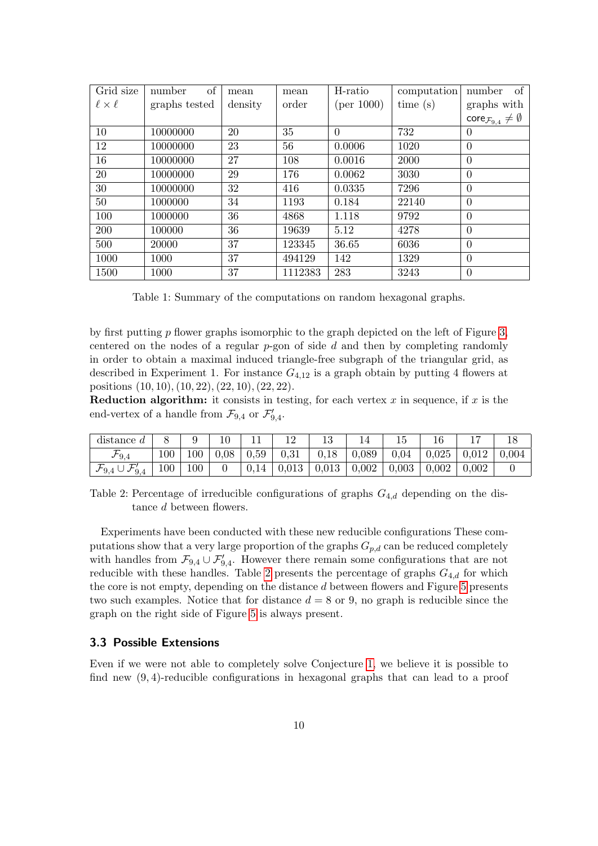| Grid size          | of<br>number  | mean    | mean    | H-ratio    | computation | of<br>number                                     |  |
|--------------------|---------------|---------|---------|------------|-------------|--------------------------------------------------|--|
| $\ell \times \ell$ | graphs tested | density | order   | (per 1000) | time $(s)$  | graphs with                                      |  |
|                    |               |         |         |            |             | $\text{core}_{\mathcal{F}_{9,4}} \neq \emptyset$ |  |
| 10                 | 10000000      | 20      | 35      | $\Omega$   | 732         | $\overline{0}$                                   |  |
| 12                 | 10000000      | 23      | 56      | 0.0006     | 1020        | $\Omega$                                         |  |
| 16                 | 10000000      | 27      | 108     | 0.0016     | 2000        | $\overline{0}$                                   |  |
| 20                 | 10000000      | 29      | 176     | 0.0062     | 3030        | $\overline{0}$                                   |  |
| 30                 | 10000000      | 32      | 416     | 0.0335     | 7296        | $\theta$                                         |  |
| 50                 | 1000000       | 34      | 1193    | 0.184      | 22140       | $\overline{0}$                                   |  |
| 100                | 1000000       | 36      | 4868    | 1.118      | 9792        | $\overline{0}$                                   |  |
| 200                | 100000        | 36      | 19639   | 5.12       | 4278        | $\theta$                                         |  |
| 500                | 20000         | 37      | 123345  | 36.65      | 6036        | $\theta$                                         |  |
| 1000               | 1000          | 37      | 494129  | 142        | 1329        | $\overline{0}$                                   |  |
| 1500               | 1000          | 37      | 1112383 | 283        | 3243        | $\theta$                                         |  |

<span id="page-9-0"></span>Table 1: Summary of the computations on random hexagonal graphs.

by first putting  $p$  flower graphs isomorphic to the graph depicted on the left of Figure [3,](#page-6-0) centered on the nodes of a regular  $p$ -gon of side  $d$  and then by completing randomly in order to obtain a maximal induced triangle-free subgraph of the triangular grid, as described in Experiment 1. For instance  $G_{4,12}$  is a graph obtain by putting 4 flowers at positions (10, 10),(10, 22),(22, 10),(22, 22).

**Reduction algorithm:** it consists in testing, for each vertex  $x$  in sequence, if  $x$  is the end-vertex of a handle from  $\mathcal{F}_{9,4}$  or  $\mathcal{F}'_{9,4}$ .

| distance d                                  |     |     |                    |                  |                                                                                  |  |                              |              |
|---------------------------------------------|-----|-----|--------------------|------------------|----------------------------------------------------------------------------------|--|------------------------------|--------------|
|                                             | 100 | 100 | $\mid$ 0.08 $\mid$ | $\mid 0.59 \mid$ | $\begin{array}{ c c c c c c c c } \hline 0.31 & 0.18 & 0.089 \hline \end{array}$ |  |                              | $^{+}$ 0.004 |
| $\mathcal{F}_{9,4} \cup \mathcal{F}_{9,4}'$ | 100 | 100 |                    |                  | $\mid$ 0.14 $\mid$ 0.013 $\mid$ 0.013 $\mid$ 0.002 $\mid$ 0.003 $\mid$           |  | $\mid 0.002 \mid 0.002 \mid$ |              |

<span id="page-9-1"></span>Table 2: Percentage of irreducible configurations of graphs  $G_{4,d}$  depending on the distance d between flowers.

Experiments have been conducted with these new reducible configurations These computations show that a very large proportion of the graphs  $G_{p,d}$  can be reduced completely with handles from  $\mathcal{F}_{9,4} \cup \mathcal{F}_{9,4}'$ . However there remain some configurations that are not reducible with these handles. Table [2](#page-9-1) presents the percentage of graphs  $G_{4,d}$  for which the core is not empty, depending on the distance d between flowers and Figure [5](#page-10-0) presents two such examples. Notice that for distance  $d = 8$  or 9, no graph is reducible since the graph on the right side of Figure [5](#page-10-0) is always present.

## 3.3 Possible Extensions

Even if we were not able to completely solve Conjecture [1,](#page-1-0) we believe it is possible to find new  $(9, 4)$ -reducible configurations in hexagonal graphs that can lead to a proof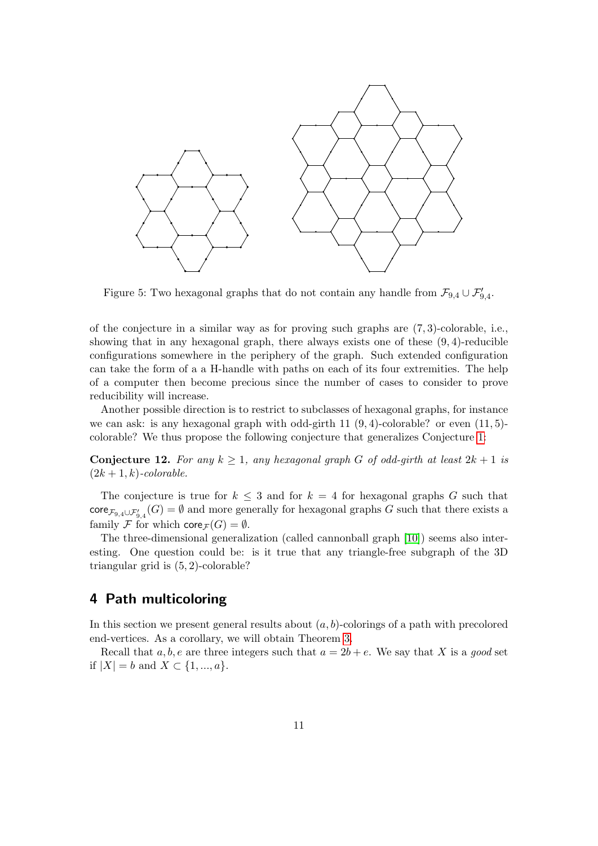

<span id="page-10-0"></span>Figure 5: Two hexagonal graphs that do not contain any handle from  $\mathcal{F}_{9,4} \cup \mathcal{F}_{9,4}'$ .

of the conjecture in a similar way as for proving such graphs are (7, 3)-colorable, i.e., showing that in any hexagonal graph, there always exists one of these  $(9, 4)$ -reducible configurations somewhere in the periphery of the graph. Such extended configuration can take the form of a a H-handle with paths on each of its four extremities. The help of a computer then become precious since the number of cases to consider to prove reducibility will increase.

Another possible direction is to restrict to subclasses of hexagonal graphs, for instance we can ask: is any hexagonal graph with odd-girth  $11 (9, 4)$ -colorable? or even  $(11, 5)$ colorable? We thus propose the following conjecture that generalizes Conjecture [1:](#page-1-0)

**Conjecture 12.** For any  $k \geq 1$ , any hexagonal graph G of odd-girth at least  $2k + 1$  is  $(2k+1, k)$ -colorable.

The conjecture is true for  $k \leq 3$  and for  $k = 4$  for hexagonal graphs G such that  $\mathsf{core}_{\mathcal{F}_{9,4}\cup\mathcal{F}_{9,4}'}(G) = \emptyset$  and more generally for hexagonal graphs G such that there exists a family F for which  $\text{core}_{\mathcal{F}}(G) = \emptyset$ .

The three-dimensional generalization (called cannonball graph [\[10\]](#page-26-10)) seems also interesting. One question could be: is it true that any triangle-free subgraph of the 3D triangular grid is (5, 2)-colorable?

# 4 Path multicoloring

In this section we present general results about  $(a, b)$ -colorings of a path with precolored end-vertices. As a corollary, we will obtain Theorem [3.](#page-3-1)

Recall that  $a, b, e$  are three integers such that  $a = 2b + e$ . We say that X is a good set if  $|X| = b$  and  $X \subset \{1, ..., a\}.$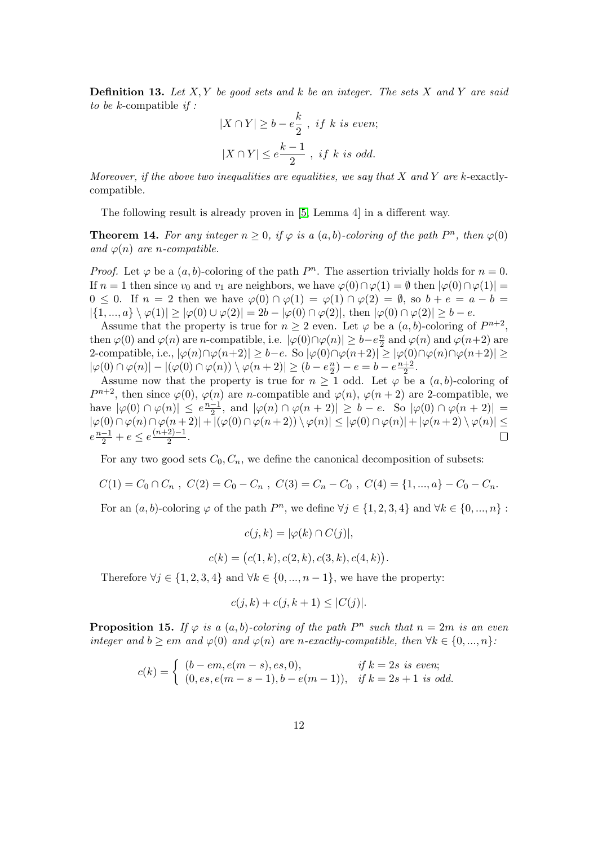**Definition 13.** Let  $X, Y$  be good sets and k be an integer. The sets  $X$  and  $Y$  are said to be  $k$ -compatible if :

$$
|X \cap Y| \ge b - e\frac{k}{2}, \text{ if } k \text{ is even};
$$
  

$$
|X \cap Y| \le e\frac{k-1}{2}, \text{ if } k \text{ is odd}.
$$

Moreover, if the above two inequalities are equalities, we say that  $X$  and  $Y$  are k-exactlycompatible.

The following result is already proven in [\[5,](#page-26-1) Lemma 4] in a different way.

<span id="page-11-0"></span>**Theorem 14.** For any integer  $n \geq 0$ , if  $\varphi$  is a  $(a, b)$ -coloring of the path  $P^n$ , then  $\varphi(0)$ and  $\varphi(n)$  are n-compatible.

*Proof.* Let  $\varphi$  be a  $(a, b)$ -coloring of the path  $P^n$ . The assertion trivially holds for  $n = 0$ . If  $n = 1$  then since  $v_0$  and  $v_1$  are neighbors, we have  $\varphi(0) \cap \varphi(1) = \emptyset$  then  $|\varphi(0) \cap \varphi(1)| =$  $0 \leq 0$ . If  $n = 2$  then we have  $\varphi(0) \cap \varphi(1) = \varphi(1) \cap \varphi(2) = \emptyset$ , so  $b + e = a - b =$  $|\{1, ..., a\} \setminus \varphi(1)| \geq |\varphi(0) \cup \varphi(2)| = 2b - |\varphi(0) \cap \varphi(2)|$ , then  $|\varphi(0) \cap \varphi(2)| \geq b - e$ .

Assume that the property is true for  $n \geq 2$  even. Let  $\varphi$  be a  $(a, b)$ -coloring of  $P^{n+2}$ , then  $\varphi(0)$  and  $\varphi(n)$  are *n*-compatible, i.e.  $|\varphi(0) \cap \varphi(n)| \geq b - e^{\frac{n}{2}}$  $\frac{n}{2}$  and  $\varphi(n)$  and  $\varphi(n+2)$  are 2-compatible, i.e.,  $|\varphi(n) \cap \varphi(n+2)| \ge b - e$ . So  $|\varphi(0) \cap \varphi(n+2)| \ge |\varphi(0) \cap \varphi(n) \cap \varphi(n+2)| \ge$  $|\varphi(0) \cap \varphi(n)| - |(\varphi(0) \cap \varphi(n)) \setminus \varphi(n+2)| \ge (b - e^{\frac{n}{2}})$  $(\frac{n}{2}) - e = b - e^{\frac{n+2}{2}}$  $\frac{+2}{2}$ .

Assume now that the property is true for  $n \geq 1$  odd. Let  $\varphi$  be a  $(a, b)$ -coloring of  $P^{n+2}$ , then since  $\varphi(0), \varphi(n)$  are *n*-compatible and  $\varphi(n), \varphi(n+2)$  are 2-compatible, we have  $|\varphi(0) \cap \varphi(n)| \leq e^{\frac{n-1}{2}}$  $\frac{-1}{2}$ , and  $|\varphi(n) \cap \varphi(n+2)| \ge b - e$ . So  $|\varphi(0) \cap \varphi(n+2)| =$  $|\varphi(0) \cap \varphi(n) \cap \varphi(n+2)| + |(\varphi(0) \cap \varphi(n+2)) \setminus \varphi(n)| \leq |\varphi(0) \cap \varphi(n)| + |\varphi(n+2) \setminus \varphi(n)| \leq$  $e^{\frac{n-1}{2}}+e \leq e^{\frac{(n+2)-1}{2}}$  $\frac{2j-1}{2}$ .  $\Box$ 

For any two good sets  $C_0, C_n$ , we define the canonical decomposition of subsets:

$$
C(1) = C_0 \cap C_n , C(2) = C_0 - C_n , C(3) = C_n - C_0 , C(4) = \{1, ..., a\} - C_0 - C_n.
$$

For an  $(a, b)$ -coloring  $\varphi$  of the path  $P^n$ , we define  $\forall j \in \{1, 2, 3, 4\}$  and  $\forall k \in \{0, ..., n\}$ :

$$
c(j,k) = |\varphi(k) \cap C(j)|,
$$

$$
c(k) = (c(1, k), c(2, k), c(3, k), c(4, k)).
$$

Therefore  $\forall j \in \{1, 2, 3, 4\}$  and  $\forall k \in \{0, ..., n-1\}$ , we have the property:

$$
c(j,k) + c(j,k+1) \le |C(j)|.
$$

<span id="page-11-1"></span>**Proposition 15.** If  $\varphi$  is a  $(a, b)$ -coloring of the path  $P^n$  such that  $n = 2m$  is an even integer and  $b \ge \epsilon m$  and  $\varphi(0)$  and  $\varphi(n)$  are n-exactly-compatible, then  $\forall k \in \{0, ..., n\}$ :

$$
c(k) = \begin{cases} (b - em, e(m - s), es, 0), & \text{if } k = 2s \text{ is even;} \\ (0, es, e(m - s - 1), b - e(m - 1)), & \text{if } k = 2s + 1 \text{ is odd.} \end{cases}
$$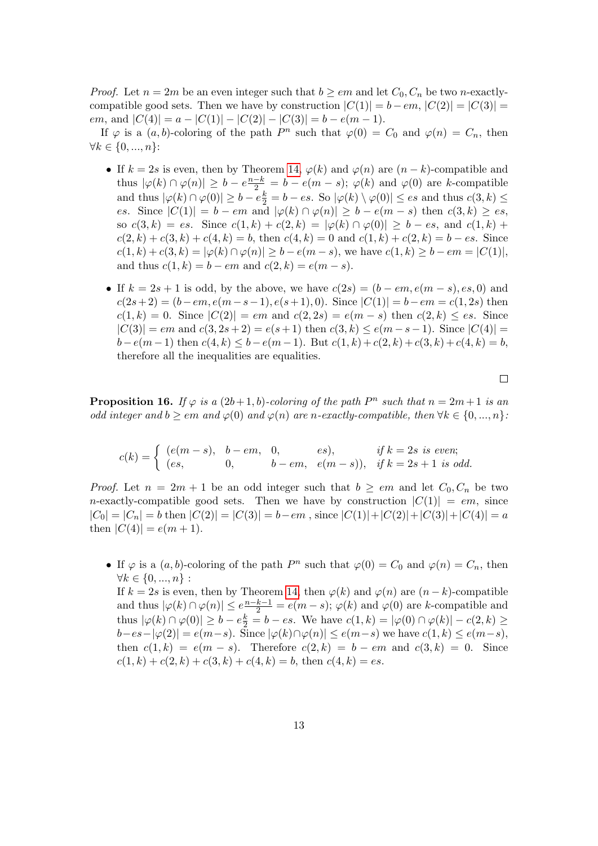*Proof.* Let  $n = 2m$  be an even integer such that  $b \geq em$  and let  $C_0, C_n$  be two n-exactlycompatible good sets. Then we have by construction  $|C(1)| = b - em$ ,  $|C(2)| = |C(3)| =$ em, and  $|C(4)| = a - |C(1)| - |C(2)| - |C(3)| = b - e(m - 1).$ 

If  $\varphi$  is a  $(a, b)$ -coloring of the path  $P^n$  such that  $\varphi(0) = C_0$  and  $\varphi(n) = C_n$ , then  $\forall k \in \{0, ..., n\}$ :

- If  $k = 2s$  is even, then by Theorem [14,](#page-11-0)  $\varphi(k)$  and  $\varphi(n)$  are  $(n k)$ -compatible and thus  $|\varphi(k) \cap \varphi(n)| \geq b - e^{\frac{n-k}{2}} = b - e(m-s); \varphi(k)$  and  $\varphi(0)$  are k-compatible and thus  $|\varphi(k) \cap \varphi(0)| \ge b - e\frac{k}{2} = b - es$ . So  $|\varphi(k) \setminus \varphi(0)| \le es$  and thus  $c(3, k) \le$ es. Since  $|C(1)| = b - em$  and  $|\varphi(k) \cap \varphi(n)| \ge b - e(m - s)$  then  $c(3, k) \ge es$ , so  $c(3,k) = es$ . Since  $c(1,k) + c(2,k) = |\varphi(k) \cap \varphi(0)| \ge b - es$ , and  $c(1,k)$  +  $c(2, k) + c(3, k) + c(4, k) = b$ , then  $c(4, k) = 0$  and  $c(1, k) + c(2, k) = b - es$ . Since  $c(1, k) + c(3, k) = |\varphi(k) \cap \varphi(n)| \ge b - e(m - s)$ , we have  $c(1, k) \ge b - em = |C(1)|$ , and thus  $c(1, k) = b - em$  and  $c(2, k) = e(m - s)$ .
- If  $k = 2s + 1$  is odd, by the above, we have  $c(2s) = (b em, e(m s), es, 0)$  and  $c(2s+2) = (b-em, e(m-s-1), e(s+1), 0)$ . Since  $|C(1)| = b-em = c(1, 2s)$  then  $c(1, k) = 0$ . Since  $|C(2)| = em$  and  $c(2, 2s) = e(m - s)$  then  $c(2, k) \le es$ . Since  $|C(3)| = em$  and  $c(3, 2s + 2) = e(s + 1)$  then  $c(3, k) \le e(m - s - 1)$ . Since  $|C(4)| =$  $b-e(m-1)$  then  $c(4, k) \leq b-e(m-1)$ . But  $c(1, k)+c(2, k)+c(3, k)+c(4, k) = b$ , therefore all the inequalities are equalities.

<span id="page-12-0"></span>**Proposition 16.** If  $\varphi$  is a  $(2b+1,b)$ -coloring of the path  $P^n$  such that  $n = 2m+1$  is an odd integer and  $b \ge \epsilon m$  and  $\varphi(0)$  and  $\varphi(n)$  are n-exactly-compatible, then  $\forall k \in \{0, ..., n\}$ :

$$
c(k) = \begin{cases} (e(m-s), & b-em, & 0, \quad es), & if \ k = 2s \ is \ even; \\ (es, & 0, \quad b-em, & e(m-s)), & if \ k = 2s+1 \ is \ odd. \end{cases}
$$

*Proof.* Let  $n = 2m + 1$  be an odd integer such that  $b \geq em$  and let  $C_0, C_n$  be two *n*-exactly-compatible good sets. Then we have by construction  $|C(1)| = em$ , since  $|C_0| = |C_n| = b$  then  $|C(2)| = |C(3)| = b - em$ , since  $|C(1)| + |C(2)| + |C(3)| + |C(4)| = a$ then  $|C(4)| = e(m + 1)$ .

• If  $\varphi$  is a  $(a, b)$ -coloring of the path  $P^n$  such that  $\varphi(0) = C_0$  and  $\varphi(n) = C_n$ , then  $\forall k \in \{0, ..., n\}$ : If  $k = 2s$  is even, then by Theorem [14,](#page-11-0) then  $\varphi(k)$  and  $\varphi(n)$  are  $(n - k)$ -compatible and thus  $|\varphi(k) \cap \varphi(n)| \leq e^{\frac{n-k-1}{2}} = e(m-s); \varphi(k)$  and  $\varphi(0)$  are k-compatible and thus  $|\varphi(k) \cap \varphi(0)| \ge b - e^{\underline{k}} = b - es$ . We have  $c(1, k) = |\varphi(0) \cap \varphi(k)| - c(2, k) \ge$  $|b-es-|\varphi(2)|=e(m-s)$ . Since  $|\varphi(k)\cap\varphi(n)|\leq e(m-s)$  we have  $c(1,k)\leq e(m-s)$ , then  $c(1, k) = e(m - s)$ . Therefore  $c(2, k) = b - em$  and  $c(3, k) = 0$ . Since  $c(1, k) + c(2, k) + c(3, k) + c(4, k) = b$ , then  $c(4, k) = es$ .

 $\Box$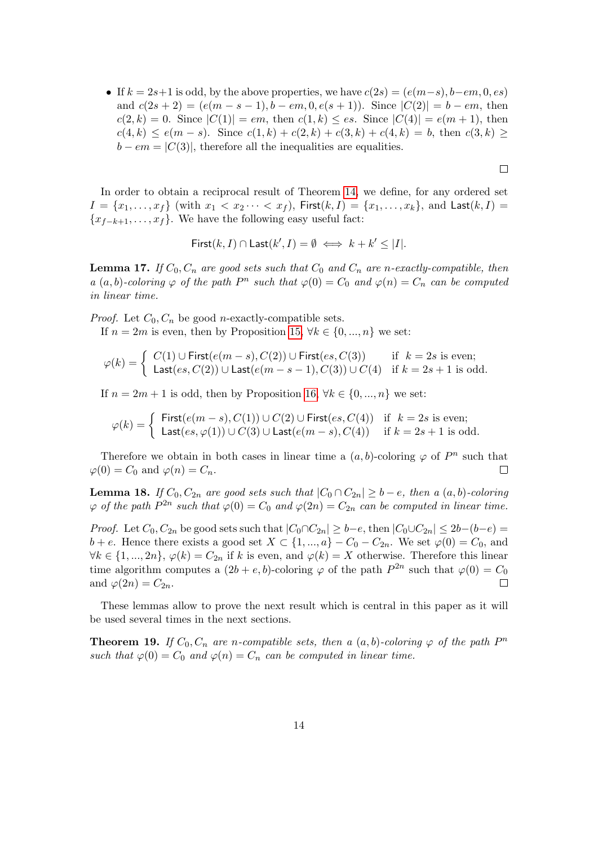• If  $k = 2s+1$  is odd, by the above properties, we have  $c(2s) = (e(m-s), b-em, 0, es)$ and  $c(2s + 2) = (e(m - s - 1), b - em, 0, e(s + 1))$ . Since  $|C(2)| = b - em$ , then  $c(2, k) = 0$ . Since  $|C(1)| = em$ , then  $c(1, k) \le es$ . Since  $|C(4)| = e(m + 1)$ , then  $c(4, k) \leq e(m - s)$ . Since  $c(1, k) + c(2, k) + c(3, k) + c(4, k) = b$ , then  $c(3, k) \geq$  $b - em = |C(3)|$ , therefore all the inequalities are equalities.

 $\Box$ 

In order to obtain a reciprocal result of Theorem [14,](#page-11-0) we define, for any ordered set  $I = \{x_1, \ldots, x_f\}$  (with  $x_1 < x_2 \cdots < x_f$ ), First $(k, I) = \{x_1, \ldots, x_k\}$ , and Last $(k, I)$  ${x_{f-k+1}, \ldots, x_f}$ . We have the following easy useful fact:

First
$$
(k, I) \cap
$$
Last $(k', I) = \emptyset \iff k + k' \leq |I|$ .

<span id="page-13-1"></span>**Lemma 17.** If  $C_0$ ,  $C_n$  are good sets such that  $C_0$  and  $C_n$  are n-exactly-compatible, then a  $(a, b)$ -coloring  $\varphi$  of the path  $P^n$  such that  $\varphi(0) = C_0$  and  $\varphi(n) = C_n$  can be computed in linear time.

*Proof.* Let  $C_0$ ,  $C_n$  be good *n*-exactly-compatible sets.

If  $n = 2m$  is even, then by Proposition [15,](#page-11-1)  $\forall k \in \{0, ..., n\}$  we set:

$$
\varphi(k) = \begin{cases} C(1) \cup \text{First}(e(m-s), C(2)) \cup \text{First}(es, C(3)) & \text{if } k = 2s \text{ is even;}\\ \text{Last}(es, C(2)) \cup \text{Last}(e(m-s-1), C(3)) \cup C(4) & \text{if } k = 2s+1 \text{ is odd.} \end{cases}
$$

If  $n = 2m + 1$  is odd, then by Proposition [16,](#page-12-0)  $\forall k \in \{0, ..., n\}$  we set:

$$
\varphi(k) = \begin{cases}\n\text{First}(e(m-s), C(1)) \cup C(2) \cup \text{First}(es, C(4)) & \text{if } k = 2s \text{ is even;} \\
\text{Last}(es, \varphi(1)) \cup C(3) \cup \text{Last}(e(m-s), C(4)) & \text{if } k = 2s + 1 \text{ is odd.}\n\end{cases}
$$

Therefore we obtain in both cases in linear time a  $(a, b)$ -coloring  $\varphi$  of  $P^n$  such that  $\varphi(0) = C_0$  and  $\varphi(n) = C_n$ .  $\Box$ 

<span id="page-13-2"></span>**Lemma 18.** If  $C_0$ ,  $C_{2n}$  are good sets such that  $|C_0 \cap C_{2n}| \geq b - e$ , then a  $(a, b)$ -coloring  $\varphi$  of the path  $P^{2n}$  such that  $\varphi(0) = C_0$  and  $\varphi(2n) = C_{2n}$  can be computed in linear time.

*Proof.* Let  $C_0$ ,  $C_{2n}$  be good sets such that  $|C_0 \cap C_{2n}| \ge b - e$ , then  $|C_0 \cup C_{2n}| \le 2b-(b-e)$  $b + e$ . Hence there exists a good set  $X \subset \{1, ..., a\} - C_0 - C_{2n}$ . We set  $\varphi(0) = C_0$ , and  $\forall k \in \{1, ..., 2n\}, \varphi(k) = C_{2n}$  if k is even, and  $\varphi(k) = X$  otherwise. Therefore this linear time algorithm computes a  $(2b + e, b)$ -coloring  $\varphi$  of the path  $P^{2n}$  such that  $\varphi(0) = C_0$ and  $\varphi(2n) = C_{2n}$ .  $\Box$ 

These lemmas allow to prove the next result which is central in this paper as it will be used several times in the next sections.

<span id="page-13-0"></span>**Theorem 19.** If  $C_0$ ,  $C_n$  are n-compatible sets, then a  $(a, b)$ -coloring  $\varphi$  of the path  $P^n$ such that  $\varphi(0) = C_0$  and  $\varphi(n) = C_n$  can be computed in linear time.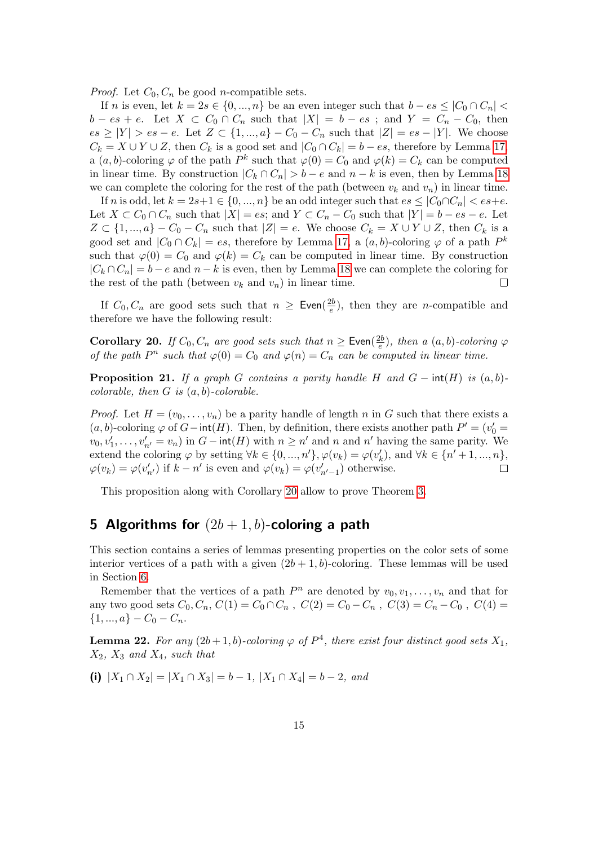*Proof.* Let  $C_0$ ,  $C_n$  be good *n*-compatible sets.

If n is even, let  $k = 2s \in \{0, ..., n\}$  be an even integer such that  $b - es \leq |C_0 \cap C_n|$  $b - es + e$ . Let  $X \subset C_0 \cap C_n$  such that  $|X| = b - es$ ; and  $Y = C_n - C_0$ , then  $es \geq |Y| > es - e$ . Let  $Z \subset \{1, ..., a\} - C_0 - C_n$  such that  $|Z| = es - |Y|$ . We choose  $C_k = X \cup Y \cup Z$ , then  $C_k$  is a good set and  $|C_0 \cap C_k| = b - es$ , therefore by Lemma [17,](#page-13-1) a  $(a, b)$ -coloring  $\varphi$  of the path  $P^k$  such that  $\varphi(0) = C_0$  and  $\varphi(k) = C_k$  can be computed in linear time. By construction  $|C_k \cap C_n| > b - e$  and  $n - k$  is even, then by Lemma [18](#page-13-2) we can complete the coloring for the rest of the path (between  $v_k$  and  $v_n$ ) in linear time.

If n is odd, let  $k = 2s+1 \in \{0, ..., n\}$  be an odd integer such that  $es \leq |C_0 \cap C_n| < es+e$ . Let  $X \subset C_0 \cap C_n$  such that  $|X| = es$ ; and  $Y \subset C_n - C_0$  such that  $|Y| = b - es - e$ . Let  $Z \subset \{1, ..., a\} - C_0 - C_n$  such that  $|Z| = e$ . We choose  $C_k = X \cup Y \cup Z$ , then  $C_k$  is a good set and  $|C_0 \cap C_k| = es$ , therefore by Lemma [17,](#page-13-1) a  $(a, b)$ -coloring  $\varphi$  of a path  $P^k$ such that  $\varphi(0) = C_0$  and  $\varphi(k) = C_k$  can be computed in linear time. By construction  $|C_k \cap C_n| = b - e$  and  $n - k$  is even, then by Lemma [18](#page-13-2) we can complete the coloring for the rest of the path (between  $v_k$  and  $v_n$ ) in linear time.  $\Box$ 

If  $C_0, C_n$  are good sets such that  $n \geq$  Even $(\frac{2b}{e})$  $\frac{2b}{e}$ , then they are *n*-compatible and therefore we have the following result:

<span id="page-14-0"></span>**Corollary 20.** If  $C_0$ ,  $C_n$  are good sets such that  $n \geq$  Even( $\frac{2b}{e}$ )  $\frac{2b}{e}$ ), then a  $(a, b)$ -coloring  $\varphi$ of the path  $P^n$  such that  $\varphi(0) = C_0$  and  $\varphi(n) = C_n$  can be computed in linear time.

**Proposition 21.** If a graph G contains a parity handle H and  $G$  –  $int(H)$  is  $(a, b)$ colorable, then  $G$  is  $(a, b)$ -colorable.

*Proof.* Let  $H = (v_0, \ldots, v_n)$  be a parity handle of length n in G such that there exists a  $(a, b)$ -coloring  $\varphi$  of  $G$  – int(H). Then, by definition, there exists another path  $P' = (v'_0 =$  $v_0, v'_1, \ldots, v'_{n'} = v_n$  in  $G - \text{int}(H)$  with  $n \geq n'$  and n and n' having the same parity. We extend the coloring  $\varphi$  by setting  $\forall k \in \{0, ..., n'\}, \varphi(v_k) = \varphi(v'_k)$ , and  $\forall k \in \{n' + 1, ..., n\},$  $\varphi(v_k) = \varphi(v'_{n'})$  if  $k - n'$  is even and  $\varphi(v_k) = \varphi(v'_{n'-1})$  otherwise.  $\Box$ 

This proposition along with Corollary [20](#page-14-0) allow to prove Theorem [3.](#page-3-1)

# 5 Algorithms for  $(2b+1, b)$ -coloring a path

This section contains a series of lemmas presenting properties on the color sets of some interior vertices of a path with a given  $(2b + 1, b)$ -coloring. These lemmas will be used in Section [6.](#page-17-0)

Remember that the vertices of a path  $P^n$  are denoted by  $v_0, v_1, \ldots, v_n$  and that for any two good sets  $C_0, C_n, C(1) = C_0 \cap C_n$ ,  $C(2) = C_0 - C_n$ ,  $C(3) = C_n - C_0$ ,  $C(4) =$  $\{1, ..., a\} - C_0 - C_n.$ 

<span id="page-14-1"></span>**Lemma 22.** For any  $(2b+1, b)$ -coloring  $\varphi$  of  $P^4$ , there exist four distinct good sets  $X_1$ ,  $X_2$ ,  $X_3$  and  $X_4$ , such that

(i)  $|X_1 \cap X_2| = |X_1 \cap X_3| = b - 1$ ,  $|X_1 \cap X_4| = b - 2$ , and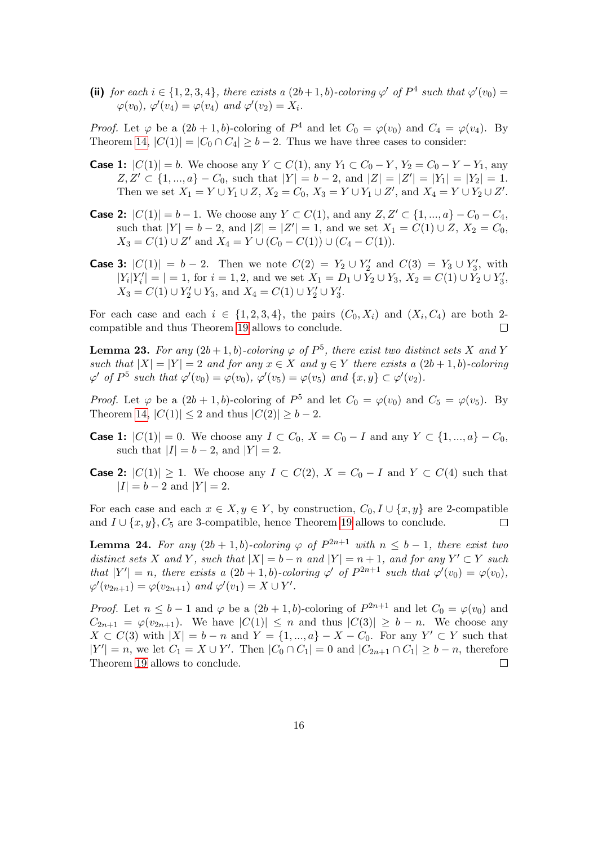(ii) for each  $i \in \{1, 2, 3, 4\}$ , there exists a  $(2b+1, b)$ -coloring  $\varphi'$  of  $P^4$  such that  $\varphi'(v_0) =$  $\varphi(v_0), \varphi'(v_4) = \varphi(v_4)$  and  $\varphi'(v_2) = X_i$ .

*Proof.* Let  $\varphi$  be a  $(2b+1,b)$ -coloring of  $P^4$  and let  $C_0 = \varphi(v_0)$  and  $C_4 = \varphi(v_4)$ . By Theorem [14,](#page-11-0)  $|C(1)| = |C_0 \cap C_4| \ge b - 2$ . Thus we have three cases to consider:

- **Case 1:**  $|C(1)| = b$ . We choose any  $Y \subset C(1)$ , any  $Y_1 \subset C_0 Y$ ,  $Y_2 = C_0 Y Y_1$ , any  $Z, Z' \subset \{1, ..., a\} - C_0$ , such that  $|Y| = b - 2$ , and  $|Z| = |Z'| = |Y_1| = |Y_2| = 1$ . Then we set  $X_1 = Y \cup Y_1 \cup Z$ ,  $X_2 = C_0$ ,  $X_3 = Y \cup Y_1 \cup Z'$ , and  $X_4 = Y \cup Y_2 \cup Z'$ .
- **Case 2:**  $|C(1)| = b 1$ . We choose any  $Y \subset C(1)$ , and any  $Z, Z' \subset \{1, ..., a\} C_0 C_4$ , such that  $|Y| = b - 2$ , and  $|Z| = |Z'| = 1$ , and we set  $X_1 = C(1) \cup Z$ ,  $X_2 = C_0$ ,  $X_3 = C(1) \cup Z'$  and  $X_4 = Y \cup (C_0 - C(1)) \cup (C_4 - C(1)).$
- **Case 3:**  $|C(1)| = b 2$ . Then we note  $C(2) = Y_2 \cup Y_2'$  and  $C(3) = Y_3 \cup Y_3'$ , with  $|Y_i|Y'_i| = |-1$ , for  $i = 1, 2$ , and we set  $X_1 = D_1 \cup Y_2 \cup Y_3$ ,  $X_2 = C(1) \cup Y_2 \cup Y'_3$ ,  $X_3 = C(1) \cup Y'_2 \cup Y_3$ , and  $X_4 = C(1) \cup Y'_2 \cup Y'_3$ .

For each case and each  $i \in \{1, 2, 3, 4\}$ , the pairs  $(C_0, X_i)$  and  $(X_i, C_4)$  are both 2compatible and thus Theorem [19](#page-13-0) allows to conclude.  $\Box$ 

<span id="page-15-0"></span>**Lemma 23.** For any  $(2b+1, b)$ -coloring  $\varphi$  of  $P^5$ , there exist two distinct sets X and Y such that  $|X| = |Y| = 2$  and for any  $x \in X$  and  $y \in Y$  there exists a  $(2b + 1, b)$ -coloring  $\varphi'$  of  $P^5$  such that  $\varphi'(v_0) = \varphi(v_0)$ ,  $\varphi'(v_5) = \varphi(v_5)$  and  $\{x, y\} \subset \varphi'(v_2)$ .

*Proof.* Let  $\varphi$  be a  $(2b+1,b)$ -coloring of  $P^5$  and let  $C_0 = \varphi(v_0)$  and  $C_5 = \varphi(v_5)$ . By Theorem [14,](#page-11-0)  $|C(1)| \leq 2$  and thus  $|C(2)| \geq b - 2$ .

- **Case 1:**  $|C(1)| = 0$ . We choose any  $I \subset C_0$ ,  $X = C_0 I$  and any  $Y \subset \{1, ..., a\} C_0$ , such that  $|I| = b - 2$ , and  $|Y| = 2$ .
- **Case 2:**  $|C(1)| \ge 1$ . We choose any  $I \subset C(2)$ ,  $X = C_0 I$  and  $Y \subset C(4)$  such that  $|I| = b - 2$  and  $|Y| = 2$ .

For each case and each  $x \in X, y \in Y$ , by construction,  $C_0, I \cup \{x, y\}$  are 2-compatible and  $I \cup \{x, y\}$ ,  $C_5$  are 3-compatible, hence Theorem [19](#page-13-0) allows to conclude.  $\Box$ 

<span id="page-15-1"></span>**Lemma 24.** For any  $(2b + 1, b)$ -coloring  $\varphi$  of  $P^{2n+1}$  with  $n \leq b-1$ , there exist two distinct sets X and Y, such that  $|X| = b - n$  and  $|Y| = n + 1$ , and for any  $Y' \subset Y$  such that  $|Y'| = n$ , there exists a  $(2b + 1, b)$ -coloring  $\varphi'$  of  $P^{2n+1}$  such that  $\varphi'(v_0) = \varphi(v_0)$ ,  $\varphi'(v_{2n+1}) = \varphi(v_{2n+1})$  and  $\varphi'(v_1) = X \cup Y'.$ 

*Proof.* Let  $n \leq b-1$  and  $\varphi$  be a  $(2b+1,b)$ -coloring of  $P^{2n+1}$  and let  $C_0 = \varphi(v_0)$  and  $C_{2n+1} = \varphi(v_{2n+1})$ . We have  $|C(1)| \leq n$  and thus  $|C(3)| \geq b - n$ . We choose any  $X \subset C(3)$  with  $|X| = b - n$  and  $Y = \{1, ..., a\} - X - C_0$ . For any  $Y' \subset Y$  such that  $|Y'| = n$ , we let  $C_1 = X \cup Y'$ . Then  $|C_0 \cap C_1| = 0$  and  $|C_{2n+1} \cap C_1| \ge b - n$ , therefore Theorem [19](#page-13-0) allows to conclude.  $\Box$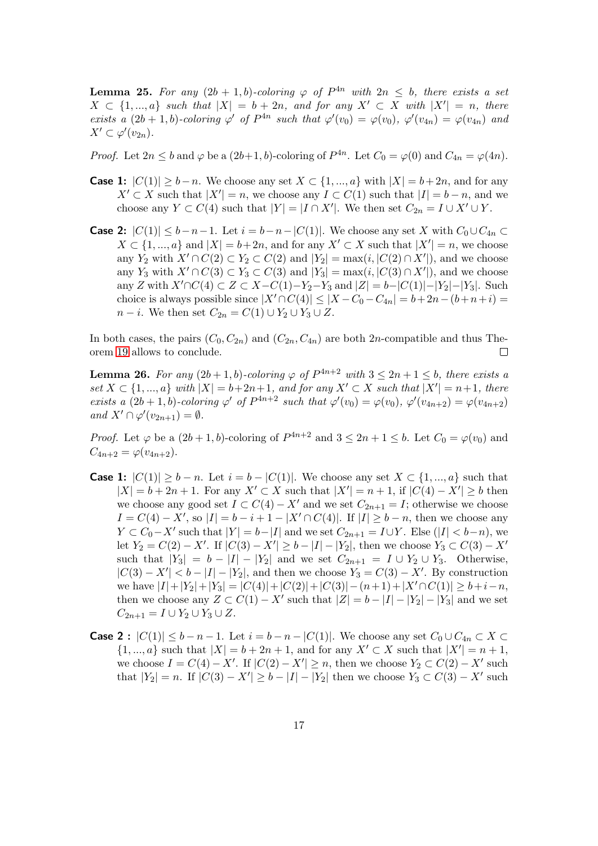<span id="page-16-0"></span>**Lemma 25.** For any  $(2b + 1, b)$ -coloring  $\varphi$  of  $P^{4n}$  with  $2n \leq b$ , there exists a set  $X \subset \{1, ..., a\}$  such that  $|X| = b + 2n$ , and for any  $X' \subset X$  with  $|X'| = n$ , there exists a  $(2b+1,b)$ -coloring  $\varphi'$  of  $P^{4n}$  such that  $\varphi'(v_0) = \varphi(v_0), \varphi'(v_{4n}) = \varphi(v_{4n})$  and  $X' \subset \varphi'(v_{2n}).$ 

*Proof.* Let  $2n \leq b$  and  $\varphi$  be a  $(2b+1, b)$ -coloring of  $P^{4n}$ . Let  $C_0 = \varphi(0)$  and  $C_{4n} = \varphi(4n)$ .

- **Case 1:**  $|C(1)| \ge b n$ . We choose any set  $X \subset \{1, ..., a\}$  with  $|X| = b + 2n$ , and for any  $X' \subset X$  such that  $|X'| = n$ , we choose any  $I \subset C(1)$  such that  $|I| = b - n$ , and we choose any  $Y \subset C(4)$  such that  $|Y| = |I \cap X'|$ . We then set  $C_{2n} = I \cup X' \cup Y$ .
- **Case 2:**  $|C(1)| \leq b-n-1$ . Let  $i = b-n-|C(1)|$ . We choose any set X with  $C_0 \cup C_{4n}$  ⊂  $X \subset \{1, ..., a\}$  and  $|X| = b + 2n$ , and for any  $X' \subset X$  such that  $|X'| = n$ , we choose any Y<sub>2</sub> with  $X' \cap C(2) \subset Y_2 \subset C(2)$  and  $|Y_2| = \max(i, |C(2) \cap X'|)$ , and we choose any Y<sub>3</sub> with  $X' \cap C(3) \subset Y_3 \subset C(3)$  and  $|Y_3| = \max(i, |C(3) \cap X'|)$ , and we choose any Z with  $X' \cap C(4) \subset Z \subset X - C(1) - Y_2 - Y_3$  and  $|Z| = b - |C(1)| - |Y_2| - |Y_3|$ . Such choice is always possible since  $|X' \cap C(4)| \leq |X - C_0 - C_{4n}| = b + 2n - (b + n + i) =$  $n-i$ . We then set  $C_{2n} = C(1) \cup Y_2 \cup Y_3 \cup Z$ .

In both cases, the pairs  $(C_0, C_{2n})$  and  $(C_{2n}, C_{4n})$  are both 2n-compatible and thus Theorem [19](#page-13-0) allows to conclude.  $\Box$ 

<span id="page-16-1"></span>**Lemma 26.** For any  $(2b+1, b)$ -coloring  $\varphi$  of  $P^{4n+2}$  with  $3 \leq 2n+1 \leq b$ , there exists a set  $X \subset \{1, ..., a\}$  with  $|X| = b + 2n + 1$ , and for any  $X' \subset X$  such that  $|X'| = n + 1$ , there exists a  $(2b+1,b)$ -coloring  $\varphi'$  of  $P^{4n+2}$  such that  $\varphi'(v_0) = \varphi(v_0), \varphi'(v_{4n+2}) = \varphi(v_{4n+2})$ and  $X' \cap \varphi'(v_{2n+1}) = \emptyset$ .

*Proof.* Let  $\varphi$  be a  $(2b+1, b)$ -coloring of  $P^{4n+2}$  and  $3 \leq 2n+1 \leq b$ . Let  $C_0 = \varphi(v_0)$  and  $C_{4n+2} = \varphi(v_{4n+2}).$ 

- **Case 1:**  $|C(1)| \ge b n$ . Let  $i = b |C(1)|$ . We choose any set  $X \subset \{1, ..., a\}$  such that  $|X| = b + 2n + 1$ . For any  $X' \subset X$  such that  $|X'| = n + 1$ , if  $|C(4) - X'| \ge b$  then we choose any good set  $I \subset C(4) - X'$  and we set  $C_{2n+1} = I$ ; otherwise we choose  $I = C(4) - X'$ , so  $|I| = b - i + 1 - |X' \cap C(4)|$ . If  $|I| \ge b - n$ , then we choose any  $Y \subset C_0 - X'$  such that  $|Y| = b - |I|$  and we set  $C_{2n+1} = I \cup Y$ . Else  $(|I| < b - n)$ , we let  $Y_2 = C(2) - X'$ . If  $|C(3) - X'| \ge b - |I| - |Y_2|$ , then we choose  $Y_3 \subset C(3) - X'$ such that  $|Y_3| = b - |I| - |Y_2|$  and we set  $C_{2n+1} = I \cup Y_2 \cup Y_3$ . Otherwise,  $|C(3) - X'| < b - |I| - |Y_2|$ , and then we choose  $Y_3 = C(3) - X'$ . By construction we have  $|I|+|Y_2|+|Y_3| = |C(4)|+|C(2)|+|C(3)|-(n+1)+|X' \cap C(1)| \geq b+i-n,$ then we choose any  $Z \subset C(1) - X'$  such that  $|Z| = b - |I| - |Y_2| - |Y_3|$  and we set  $C_{2n+1} = I \cup Y_2 \cup Y_3 \cup Z.$
- **Case 2**:  $|C(1)| \leq b n 1$ . Let  $i = b n |C(1)|$ . We choose any set  $C_0 \cup C_{4n} \subset X$  $\{1, ..., a\}$  such that  $|X| = b + 2n + 1$ , and for any  $X' \subset X$  such that  $|X'| = n + 1$ , we choose  $I = C(4) - X'$ . If  $|C(2) - X'| \ge n$ , then we choose  $Y_2 \subset C(2) - X'$  such that  $|Y_2| = n$ . If  $|C(3) - X'| \ge b - |I| - |Y_2|$  then we choose  $Y_3 \subset C(3) - X'$  such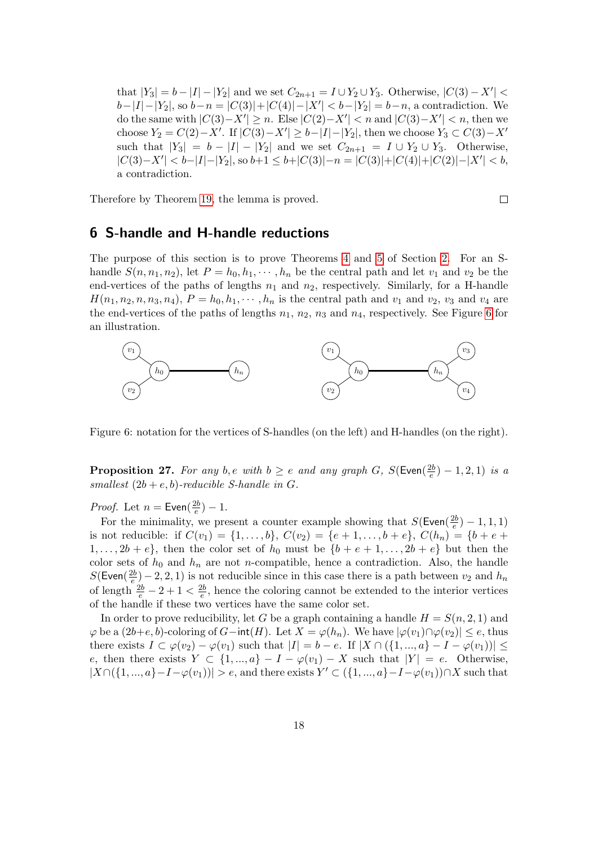that  $|Y_3| = b - |I| - |Y_2|$  and we set  $C_{2n+1} = I \cup Y_2 \cup Y_3$ . Otherwise,  $|C(3) - X'|$  $b-|I|-|Y_2|$ , so  $b-n=|C(3)|+|C(4)|-|X'| < b-|Y_2|=b-n$ , a contradiction. We do the same with  $|C(3)-X'|\geq n$ . Else  $|C(2)-X'|< n$  and  $|C(3)-X'|< n$ , then we choose  $Y_2 = C(2) - X'$ . If  $|C(3) - X'| \ge b - |I| - |Y_2|$ , then we choose  $Y_3 \subset C(3) - X'$ such that  $|Y_3| = b - |I| - |Y_2|$  and we set  $C_{2n+1} = I \cup Y_2 \cup Y_3$ . Otherwise,  $|C(3)-X'| < b-|I|-|Y_2|$ , so  $b+1 \leq b+|C(3)|-n = |C(3)|+|C(4)|+|C(2)|-|X'| < b$ , a contradiction.

Therefore by Theorem [19,](#page-13-0) the lemma is proved.

$$
\qquad \qquad \Box
$$

## <span id="page-17-0"></span>6 S-handle and H-handle reductions

The purpose of this section is to prove Theorems [4](#page-3-2) and [5](#page-3-3) of Section [2.](#page-2-0) For an Shandle  $S(n, n_1, n_2)$ , let  $P = h_0, h_1, \dots, h_n$  be the central path and let  $v_1$  and  $v_2$  be the end-vertices of the paths of lengths  $n_1$  and  $n_2$ , respectively. Similarly, for a H-handle  $H(n_1, n_2, n, n_3, n_4), P = h_0, h_1, \cdots, h_n$  is the central path and  $v_1$  and  $v_2, v_3$  and  $v_4$  are the end-vertices of the paths of lengths  $n_1$ ,  $n_2$ ,  $n_3$  and  $n_4$ , respectively. See Figure [6](#page-17-1) for an illustration.



<span id="page-17-1"></span>Figure 6: notation for the vertices of S-handles (on the left) and H-handles (on the right).

<span id="page-17-2"></span>**Proposition 27.** For any b,e with  $b \geq e$  and any graph G, S(Even( $\frac{2b}{e}$ )  $(\frac{2b}{e})-1, 2, 1)$  is a smallest  $(2b + e, b)$ -reducible S-handle in G.

*Proof.* Let  $n =$  Even( $\frac{2b}{e}$  $(\frac{2b}{e})-1.$ 

For the minimality, we present a counter example showing that  $S(\text{Even}(\frac{2b}{e})$  $\frac{2b}{e})-1,1,1)$ is not reducible: if  $C(v_1) = \{1, \ldots, b\}$ ,  $C(v_2) = \{e+1, \ldots, b+e\}$ ,  $C(h_n) = \{b+e+e\}$  $1, \ldots, 2b + e$ , then the color set of  $h_0$  must be  $\{b + e + 1, \ldots, 2b + e\}$  but then the color sets of  $h_0$  and  $h_n$  are not n-compatible, hence a contradiction. Also, the handle  $S$ (Even $(\frac{2b}{e})$  $\frac{2b}{e}$  – 2, 2, 1) is not reducible since in this case there is a path between  $v_2$  and  $h_n$ of length  $\frac{2b}{e} - 2 + 1 < \frac{2b}{e}$  $\frac{2b}{e}$ , hence the coloring cannot be extended to the interior vertices of the handle if these two vertices have the same color set.

In order to prove reducibility, let G be a graph containing a handle  $H = S(n, 2, 1)$  and  $\varphi$  be a  $(2b+e, b)$ -coloring of  $G$ −int $(H)$ . Let  $X = \varphi(h_n)$ . We have  $|\varphi(v_1) \cap \varphi(v_2)| \leq e$ , thus there exists  $I \subset \varphi(v_2) - \varphi(v_1)$  such that  $|I| = b - e$ . If  $|X \cap (\{1, ..., a\} - I - \varphi(v_1))| \le$ e, then there exists  $Y \subset \{1, ..., a\} - I - \varphi(v_1) - X$  such that  $|Y| = e$ . Otherwise,  $|X\cap (\{1,...,a\}-I-\varphi(v_1))|>e$ , and there exists  $Y'\subset (\{1,...,a\}-I-\varphi(v_1))\cap X$  such that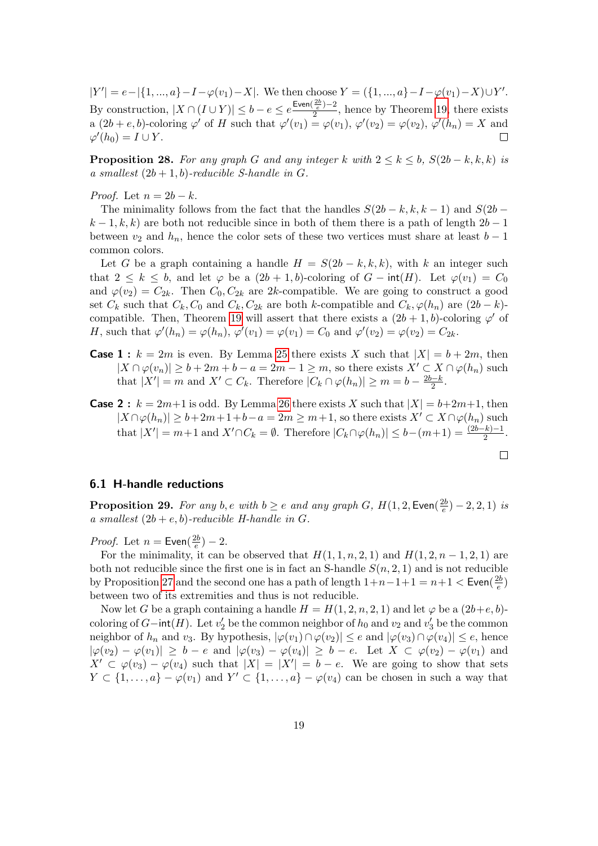$|Y'| = e - |\{1, ..., a\} - I - \varphi(v_1) - X|$ . We then choose  $Y = (\{1, ..., a\} - I - \varphi(v_1) - X) \cup Y'$ . By construction,  $|X \cap (I \cup Y)| \leq b - e \leq e^{\frac{\text{Even}(\frac{2b}{e}) - 2}{2}}$  $\frac{1}{2}$ , hence by Theorem [19,](#page-13-0) there exists a  $(2b + e, b)$ -coloring  $\varphi'$  of H such that  $\varphi'(v_1) = \varphi(v_1), \varphi'(v_2) = \varphi(v_2), \varphi'(h_n) = X$  and  $\varphi'(h_0) = I \cup Y.$ 

<span id="page-18-0"></span>**Proposition 28.** For any graph G and any integer k with  $2 \leq k \leq b$ ,  $S(2b - k, k, k)$  is a smallest  $(2b + 1, b)$ -reducible S-handle in G.

*Proof.* Let  $n = 2b - k$ .

The minimality follows from the fact that the handles  $S(2b - k, k, k - 1)$  and  $S(2b - k, k, k - 1)$  $k-1, k, k$  are both not reducible since in both of them there is a path of length  $2b-1$ between  $v_2$  and  $h_n$ , hence the color sets of these two vertices must share at least  $b-1$ common colors.

Let G be a graph containing a handle  $H = S(2b - k, k, k)$ , with k an integer such that  $2 \leq k \leq b$ , and let  $\varphi$  be a  $(2b+1, b)$ -coloring of  $G - \text{int}(H)$ . Let  $\varphi(v_1) = C_0$ and  $\varphi(v_2) = C_{2k}$ . Then  $C_0, C_{2k}$  are 2k-compatible. We are going to construct a good set  $C_k$  such that  $C_k$ ,  $C_0$  and  $C_k$ ,  $C_{2k}$  are both k-compatible and  $C_k$ ,  $\varphi(h_n)$  are  $(2b - k)$ -compatible. Then, Theorem [19](#page-13-0) will assert that there exists a  $(2b+1, b)$ -coloring  $\varphi'$  of H, such that  $\varphi'(h_n) = \varphi(h_n)$ ,  $\varphi'(v_1) = \varphi(v_1) = C_0$  and  $\varphi'(v_2) = \varphi(v_2) = C_{2k}$ .

- **Case 1** :  $k = 2m$  is even. By Lemma [25](#page-16-0) there exists X such that  $|X| = b + 2m$ , then  $|X \cap \varphi(v_n)| \geq b + 2m + b - a = 2m - 1 \geq m$ , so there exists  $X' \subset X \cap \varphi(h_n)$  such that  $|X'| = m$  and  $X' \subset C_k$ . Therefore  $|C_k \cap \varphi(h_n)| \geq m = b - \frac{2b-k}{2}$  $\frac{b-k}{2}$ .
- **Case 2**:  $k = 2m+1$  is odd. By Lemma [26](#page-16-1) there exists X such that  $|X| = b+2m+1$ , then  $|X \cap \varphi(h_n)| \geq b + 2m + 1 + b - a = 2m \geq m + 1$ , so there exists  $X' \subset X \cap \varphi(h_n)$  such that  $|X'| = m+1$  and  $X' \cap C_k = \emptyset$ . Therefore  $|C_k \cap \varphi(h_n)| \le b-(m+1) = \frac{(2b-k)-1}{2}$ .

$$
\qquad \qquad \Box
$$

#### 6.1 H-handle reductions

**Proposition 29.** For any b, e with  $b \geq e$  and any graph G,  $H(1, 2, \text{Even})$  $(\frac{2b}{e})-2, 2, 1)$  is a smallest  $(2b + e, b)$ -reducible H-handle in G.

*Proof.* Let  $n =$  Even( $\frac{2b}{e}$  $(\frac{2b}{e})-2.$ 

For the minimality, it can be observed that  $H(1, 1, n, 2, 1)$  and  $H(1, 2, n - 1, 2, 1)$  are both not reducible since the first one is in fact an S-handle  $S(n, 2, 1)$  and is not reducible by Proposition [27](#page-17-2) and the second one has a path of length  $1+n-1+1 = n+1 < \text{Even}(\frac{2b}{e})$  $\frac{2b}{e})$ between two of its extremities and thus is not reducible.

Now let G be a graph containing a handle  $H = H(1, 2, n, 2, 1)$  and let  $\varphi$  be a  $(2b + e, b)$ coloring of  $G$ −int(H). Let  $v_2'$  be the common neighbor of  $h_0$  and  $v_2$  and  $v_3'$  be the common neighbor of  $h_n$  and  $v_3$ . By hypothesis,  $|\varphi(v_1) \cap \varphi(v_2)| \leq e$  and  $|\varphi(v_3) \cap \varphi(v_4)| \leq e$ , hence  $|\varphi(v_2) - \varphi(v_1)| \geq b - e$  and  $|\varphi(v_3) - \varphi(v_4)| \geq b - e$ . Let  $X \subset \varphi(v_2) - \varphi(v_1)$  and  $X' \subset \varphi(v_3) - \varphi(v_4)$  such that  $|X| = |X'| = b - e$ . We are going to show that sets  $Y \subset \{1, \ldots, a\} - \varphi(v_1)$  and  $Y' \subset \{1, \ldots, a\} - \varphi(v_4)$  can be chosen in such a way that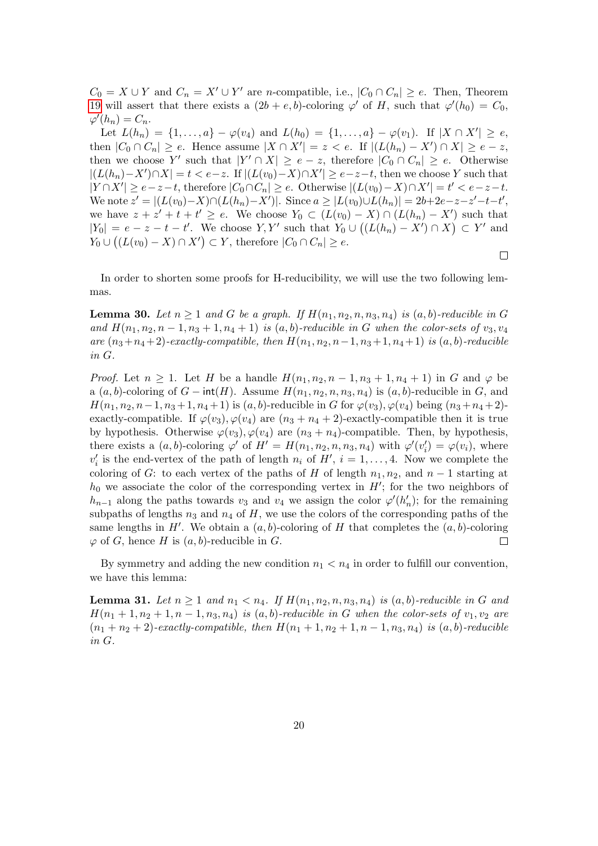$C_0 = X \cup Y$  and  $C_n = X' \cup Y'$  are n-compatible, i.e.,  $|C_0 \cap C_n| \ge e$ . Then, Theorem [19](#page-13-0) will assert that there exists a  $(2b + e, b)$ -coloring  $\varphi'$  of H, such that  $\varphi'(h_0) = C_0$ ,  $\varphi'(h_n) = C_n.$ 

Let  $L(h_n) = \{1, ..., a\} - \varphi(v_4)$  and  $L(h_0) = \{1, ..., a\} - \varphi(v_1)$ . If  $|X \cap X'| \ge e$ , then  $|C_0 \cap C_n| \ge e$ . Hence assume  $|X \cap X'| = z < e$ . If  $|(L(h_n) - X') \cap X| \ge e - z$ , then we choose Y' such that  $|Y' \cap X| \ge e - z$ , therefore  $|C_0 \cap C_n| \ge e$ . Otherwise  $|(L(h_n)-X') \cap X| = t < e-z$ . If  $|(L(v_0)-X) \cap X'| \ge e-z-t$ , then we choose Y such that  $|Y \cap X'| \ge e-z-t$ , therefore  $|C_0 \cap C_n| \ge e$ . Otherwise  $|(L(v_0) - X) \cap X'| = t' < e-z-t$ . We note  $z' = |(L(v_0) - X) \cap (L(h_n) - X')|$ . Since  $a \ge |L(v_0) \cup L(h_n)| = 2b + 2e - z - z' - t - t'$ , we have  $z + z' + t + t' \ge e$ . We choose  $Y_0 \subset (L(v_0) - X) \cap (L(h_n) - X')$  such that  $|Y_0| = e - z - t - t'$ . We choose Y, Y' such that  $Y_0 \cup ((L(h_n) - X') \cap X) \subset Y'$  and  $Y_0 \cup ((L(v_0) - X) \cap X') \subset Y$ , therefore  $|C_0 \cap C_n| \ge e$ .

In order to shorten some proofs for H-reducibility, we will use the two following lemmas.

 $\Box$ 

<span id="page-19-1"></span>**Lemma 30.** Let  $n \geq 1$  and G be a graph. If  $H(n_1, n_2, n, n_3, n_4)$  is  $(a, b)$ -reducible in G and  $H(n_1, n_2, n-1, n_3+1, n_4+1)$  is  $(a, b)$ -reducible in G when the color-sets of  $v_3, v_4$ are  $(n_3+n_4+2)$ -exactly-compatible, then  $H(n_1, n_2, n-1, n_3+1, n_4+1)$  is  $(a, b)$ -reducible in G.

*Proof.* Let  $n \geq 1$ . Let H be a handle  $H(n_1, n_2, n-1, n_3+1, n_4+1)$  in G and  $\varphi$  be a  $(a, b)$ -coloring of  $G$  – int(H). Assume  $H(n_1, n_2, n, n_3, n_4)$  is  $(a, b)$ -reducible in G, and  $H(n_1, n_2, n-1, n_3+1, n_4+1)$  is  $(a, b)$ -reducible in G for  $\varphi(v_3), \varphi(v_4)$  being  $(n_3+n_4+2)$ exactly-compatible. If  $\varphi(v_3), \varphi(v_4)$  are  $(n_3 + n_4 + 2)$ -exactly-compatible then it is true by hypothesis. Otherwise  $\varphi(v_3), \varphi(v_4)$  are  $(n_3 + n_4)$ -compatible. Then, by hypothesis, there exists a  $(a, b)$ -coloring  $\varphi'$  of  $H' = H(n_1, n_2, n, n_3, n_4)$  with  $\varphi'(v'_i) = \varphi(v_i)$ , where  $v'_i$  is the end-vertex of the path of length  $n_i$  of  $H'$ ,  $i = 1, \ldots, 4$ . Now we complete the coloring of G: to each vertex of the paths of H of length  $n_1, n_2$ , and  $n-1$  starting at  $h_0$  we associate the color of the corresponding vertex in  $H'$ ; for the two neighbors of  $h_{n-1}$  along the paths towards  $v_3$  and  $v_4$  we assign the color  $\varphi'(h'_n)$ ; for the remaining subpaths of lengths  $n_3$  and  $n_4$  of H, we use the colors of the corresponding paths of the same lengths in  $H'$ . We obtain a  $(a, b)$ -coloring of H that completes the  $(a, b)$ -coloring  $\varphi$  of G, hence H is  $(a, b)$ -reducible in G.  $\Box$ 

By symmetry and adding the new condition  $n_1 < n_4$  in order to fulfill our convention, we have this lemma:

<span id="page-19-0"></span>**Lemma 31.** Let  $n \geq 1$  and  $n_1 < n_4$ . If  $H(n_1, n_2, n, n_3, n_4)$  is  $(a, b)$ -reducible in G and  $H(n_1+1,n_2+1,n-1,n_3,n_4)$  is  $(a,b)$ -reducible in G when the color-sets of  $v_1,v_2$  are  $(n_1 + n_2 + 2)$ -exactly-compatible, then  $H(n_1 + 1, n_2 + 1, n - 1, n_3, n_4)$  is  $(a, b)$ -reducible in G.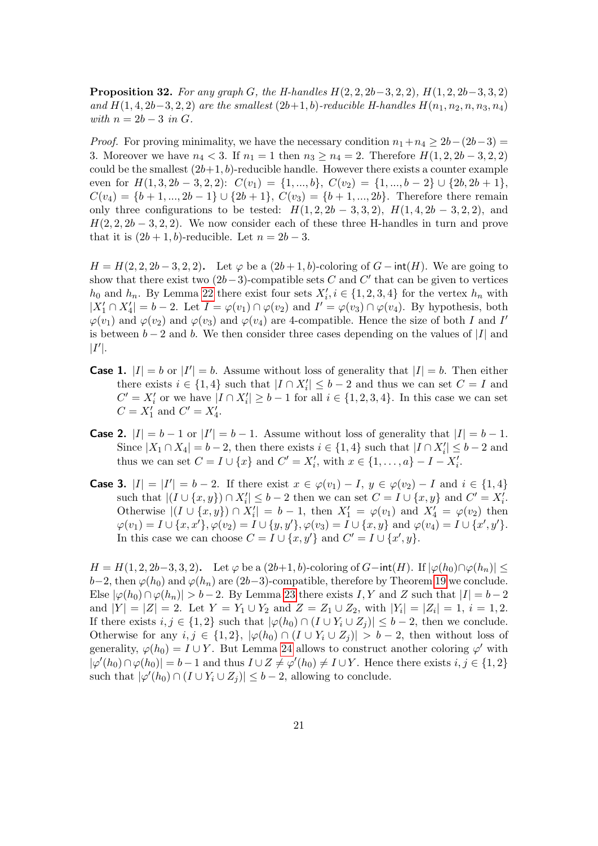<span id="page-20-0"></span>**Proposition 32.** For any graph G, the H-handles  $H(2, 2, 2b-3, 2, 2)$ ,  $H(1, 2, 2b-3, 3, 2)$ and  $H(1, 4, 2b-3, 2, 2)$  are the smallest  $(2b+1, b)$ -reducible H-handles  $H(n_1, n_2, n, n_3, n_4)$ with  $n = 2b - 3$  in G.

*Proof.* For proving minimality, we have the necessary condition  $n_1+n_4 \geq 2b-(2b-3)$  = 3. Moreover we have  $n_4 < 3$ . If  $n_1 = 1$  then  $n_3 \ge n_4 = 2$ . Therefore  $H(1, 2, 2b - 3, 2, 2)$ could be the smallest  $(2b+1, b)$ -reducible handle. However there exists a counter example even for  $H(1, 3, 2b - 3, 2, 2)$ :  $C(v_1) = \{1, ..., b\}, C(v_2) = \{1, ..., b - 2\} \cup \{2b, 2b + 1\},$  $C(v_4) = \{b+1, ..., 2b-1\} \cup \{2b+1\}, C(v_3) = \{b+1, ..., 2b\}.$  Therefore there remain only three configurations to be tested:  $H(1, 2, 2b - 3, 3, 2), H(1, 4, 2b - 3, 2, 2),$  and  $H(2, 2, 2b-3, 2, 2)$ . We now consider each of these three H-handles in turn and prove that it is  $(2b + 1, b)$ -reducible. Let  $n = 2b - 3$ .

 $H = H(2, 2, 2b - 3, 2, 2)$ . Let  $\varphi$  be a  $(2b + 1, b)$ -coloring of  $G$  – int(H). We are going to show that there exist two  $(2b-3)$ -compatible sets C and C' that can be given to vertices  $h_0$  and  $h_n$ . By Lemma [22](#page-14-1) there exist four sets  $X'_i, i \in \{1, 2, 3, 4\}$  for the vertex  $h_n$  with  $|X'_1 \cap X'_4| = b - 2$ . Let  $I = \varphi(v_1) \cap \varphi(v_2)$  and  $I' = \varphi(v_3) \cap \varphi(v_4)$ . By hypothesis, both  $\varphi(v_1)$  and  $\varphi(v_2)$  and  $\varphi(v_3)$  and  $\varphi(v_4)$  are 4-compatible. Hence the size of both I and I' is between  $b-2$  and b. We then consider three cases depending on the values of |I| and  $|I'|$ .

- **Case 1.**  $|I| = b$  or  $|I'| = b$ . Assume without loss of generality that  $|I| = b$ . Then either there exists  $i \in \{1, 4\}$  such that  $|I \cap X'_i| \leq b - 2$  and thus we can set  $C = I$  and  $C' = X'_i$  or we have  $|I \cap X'_i| \geq b-1$  for all  $i \in \{1, 2, 3, 4\}$ . In this case we can set  $C = X'_1$  and  $C' = X'_4$ .
- **Case 2.**  $|I| = b 1$  or  $|I'| = b 1$ . Assume without loss of generality that  $|I| = b 1$ . Since  $|X_1 \cap X_4| = b - 2$ , then there exists  $i \in \{1, 4\}$  such that  $|I \cap X_i'| \leq b - 2$  and thus we can set  $C = I \cup \{x\}$  and  $C' = X'_{i}$ , with  $x \in \{1, ..., a\} - I - X'_{i}$ .
- **Case 3.**  $|I| = |I'| = b 2$ . If there exist  $x \in \varphi(v_1) I$ ,  $y \in \varphi(v_2) I$  and  $i \in \{1, 4\}$ such that  $|(I \cup \{x,y\}) \cap X'_i| \leq b-2$  then we can set  $C = I \cup \{x,y\}$  and  $C' = X'_i$ . Otherwise  $|(I \cup \{x,y\}) \cap X'_i| = b - 1$ , then  $X'_1 = \varphi(v_1)$  and  $X'_4 = \varphi(v_2)$  then  $\varphi(v_1) = I \cup \{x, x'\}, \varphi(v_2) = I \cup \{y, y'\}, \varphi(v_3) = I \cup \{x, y\} \text{ and } \varphi(v_4) = I \cup \{x', y'\}.$ In this case we can choose  $C = I \cup \{x, y'\}$  and  $C' = I \cup \{x', y\}.$

 $H = H(1, 2, 2b-3, 3, 2)$ . Let  $\varphi$  be a  $(2b+1, b)$ -coloring of  $G$ −int $(H)$ . If  $|\varphi(h_0) \cap \varphi(h_n)| \le$  $b-2$ , then  $\varphi(h_0)$  and  $\varphi(h_n)$  are  $(2b-3)$ -compatible, therefore by Theorem [19](#page-13-0) we conclude. Else  $|\varphi(h_0) \cap \varphi(h_n)| > b - 2$ . By Lemma [23](#page-15-0) there exists I, Y and Z such that  $|I| = b - 2$ and  $|Y| = |Z| = 2$ . Let  $Y = Y_1 \cup Y_2$  and  $Z = Z_1 \cup Z_2$ , with  $|Y_i| = |Z_i| = 1$ ,  $i = 1, 2$ . If there exists  $i, j \in \{1, 2\}$  such that  $|\varphi(h_0) \cap (I \cup Y_i \cup Z_j)| \leq b-2$ , then we conclude. Otherwise for any  $i, j \in \{1, 2\}$ ,  $|\varphi(h_0) \cap (I \cup Y_i \cup Z_j)| > b - 2$ , then without loss of generality,  $\varphi(h_0) = I \cup Y$ . But Lemma [24](#page-15-1) allows to construct another coloring  $\varphi'$  with  $|\varphi'(h_0) \cap \varphi(h_0)| = b - 1$  and thus  $I \cup Z \neq \varphi'(h_0) \neq I \cup Y$ . Hence there exists  $i, j \in \{1, 2\}$ such that  $|\varphi'(h_0) \cap (I \cup Y_i \cup Z_j)| \leq b-2$ , allowing to conclude.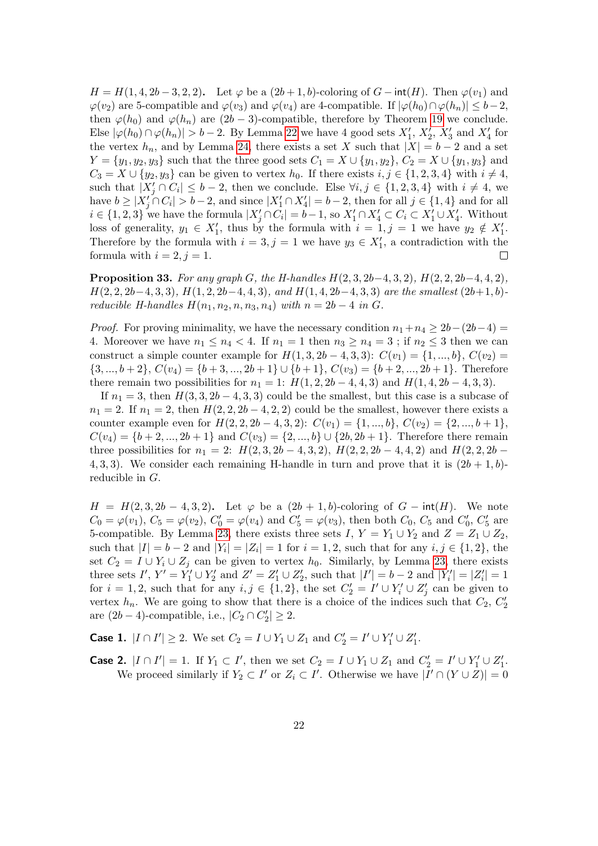$H = H(1, 4, 2b - 3, 2, 2)$ . Let  $\varphi$  be a  $(2b + 1, b)$ -coloring of  $G$  – int(H). Then  $\varphi(v_1)$  and  $\varphi(v_2)$  are 5-compatible and  $\varphi(v_3)$  and  $\varphi(v_4)$  are 4-compatible. If  $|\varphi(h_0) \cap \varphi(h_n)| \leq b-2$ , then  $\varphi(h_0)$  and  $\varphi(h_n)$  are  $(2b-3)$ -compatible, therefore by Theorem [19](#page-13-0) we conclude. Else  $|\varphi(h_0) \cap \varphi(h_n)| > b - 2$ . By Lemma [22](#page-14-1) we have 4 good sets  $X'_1$ ,  $X'_2$ ,  $X'_3$  and  $X'_4$  for the vertex  $h_n$ , and by Lemma [24,](#page-15-1) there exists a set X such that  $|X| = b - 2$  and a set  $Y = \{y_1, y_2, y_3\}$  such that the three good sets  $C_1 = X \cup \{y_1, y_2\}, C_2 = X \cup \{y_1, y_3\}$  and  $C_3 = X \cup \{y_2, y_3\}$  can be given to vertex  $h_0$ . If there exists  $i, j \in \{1, 2, 3, 4\}$  with  $i \neq 4$ , such that  $|X'_j \cap C_i| \leq b-2$ , then we conclude. Else  $\forall i, j \in \{1, 2, 3, 4\}$  with  $i \neq 4$ , we have  $b \geq |X_j' \cap C_i| > b-2$ , and since  $|X_1' \cap X_4'| = b-2$ , then for all  $j \in \{1,4\}$  and for all  $i \in \{1,2,3\}$  we have the formula  $|X'_j \cap C_i| = b-1$ , so  $X'_1 \cap X'_4 \subset C_i \subset X'_1 \cup X'_4$ . Without loss of generality,  $y_1 \in X'_1$ , thus by the formula with  $i = 1, j = 1$  we have  $y_2 \notin X'_1$ . Therefore by the formula with  $i = 3, j = 1$  we have  $y_3 \in X'_1$ , a contradiction with the formula with  $i = 2, j = 1$ .  $\Box$ 

**Proposition 33.** For any graph G, the H-handles  $H(2, 3, 2b-4, 3, 2)$ ,  $H(2, 2, 2b-4, 4, 2)$ ,  $H(2, 2, 2b-4, 3, 3), H(1, 2, 2b-4, 4, 3),$  and  $H(1, 4, 2b-4, 3, 3)$  are the smallest  $(2b+1, b)$ reducible H-handles  $H(n_1, n_2, n, n_3, n_4)$  with  $n = 2b - 4$  in G.

*Proof.* For proving minimality, we have the necessary condition  $n_1+n_4 \geq 2b-(2b-4)$ 4. Moreover we have  $n_1 \leq n_4 < 4$ . If  $n_1 = 1$  then  $n_3 \geq n_4 = 3$ ; if  $n_2 \leq 3$  then we can construct a simple counter example for  $H(1, 3, 2b - 4, 3, 3)$ :  $C(v_1) = \{1, ..., b\}, C(v_2) =$  $\{3, ..., b+2\}, C(v_4) = \{b+3, ..., 2b+1\} \cup \{b+1\}, C(v_3) = \{b+2, ..., 2b+1\}.$  Therefore there remain two possibilities for  $n_1 = 1$ :  $H(1, 2, 2b - 4, 4, 3)$  and  $H(1, 4, 2b - 4, 3, 3)$ .

If  $n_1 = 3$ , then  $H(3, 3, 2b - 4, 3, 3)$  could be the smallest, but this case is a subcase of  $n_1 = 2$ . If  $n_1 = 2$ , then  $H(2, 2, 2b - 4, 2, 2)$  could be the smallest, however there exists a counter example even for  $H(2, 2, 2b - 4, 3, 2)$ :  $C(v_1) = \{1, ..., b\}, C(v_2) = \{2, ..., b + 1\},$  $C(v_4) = \{b+2,...,2b+1\}$  and  $C(v_3) = \{2,...,b\} \cup \{2b,2b+1\}$ . Therefore there remain three possibilities for  $n_1 = 2$ :  $H(2, 3, 2b - 4, 3, 2)$ ,  $H(2, 2, 2b - 4, 4, 2)$  and  $H(2, 2, 2b -$ 4, 3, 3). We consider each remaining H-handle in turn and prove that it is  $(2b+1, b)$ reducible in G.

 $H = H(2, 3, 2b - 4, 3, 2)$ . Let  $\varphi$  be a  $(2b + 1, b)$ -coloring of  $G - \text{int}(H)$ . We note  $C_0 = \varphi(v_1)$ ,  $C_5 = \varphi(v_2)$ ,  $C'_0 = \varphi(v_4)$  and  $C'_5 = \varphi(v_3)$ , then both  $C_0$ ,  $C_5$  and  $C'_0$ ,  $C'_5$  are 5-compatible. By Lemma [23,](#page-15-0) there exists three sets I,  $Y = Y_1 \cup Y_2$  and  $Z = Z_1 \cup Z_2$ , such that  $|I| = b - 2$  and  $|Y_i| = |Z_i| = 1$  for  $i = 1, 2$ , such that for any  $i, j \in \{1, 2\}$ , the set  $C_2 = I \cup Y_i \cup Z_j$  can be given to vertex  $h_0$ . Similarly, by Lemma [23,](#page-15-0) there exists three sets  $I'$ ,  $Y' = Y_1' \cup Y_2'$  and  $Z' = Z_1' \cup Z_2'$ , such that  $|I'| = b - 2$  and  $|Y_i'| = |Z_i'| = 1$ for  $i = 1, 2$ , such that for any  $i, j \in \{1, 2\}$ , the set  $C_2' = I' \cup Y_i' \cup Z_j'$  can be given to vertex  $h_n$ . We are going to show that there is a choice of the indices such that  $C_2$ ,  $C_2'$ are  $(2b-4)$ -compatible, i.e.,  $|C_2 \cap C_2'| \geq 2$ .

**Case 1.**  $|I \cap I'| \ge 2$ . We set  $C_2 = I \cup Y_1 \cup Z_1$  and  $C'_2 = I' \cup Y'_1 \cup Z'_1$ .

**Case 2.**  $|I \cap I'| = 1$ . If  $Y_1 \subset I'$ , then we set  $C_2 = I \cup Y_1 \cup Z_1$  and  $C'_2 = I' \cup Y'_1 \cup Z'_1$ . We proceed similarly if  $Y_2 \subset I'$  or  $Z_i \subset I'$ . Otherwise we have  $|I' \cap (Y \cup Z)| = 0$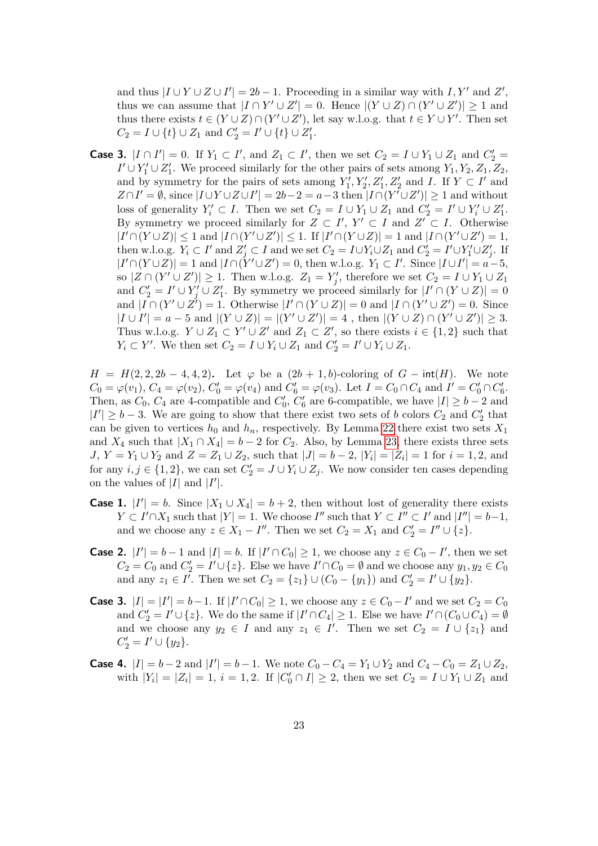and thus  $|I \cup Y \cup Z \cup I'| = 2b - 1$ . Proceeding in a similar way with  $I, Y'$  and  $Z'$ , thus we can assume that  $|I \cap Y' \cup Z'| = 0$ . Hence  $|(Y \cup Z) \cap (Y' \cup Z')| \geq 1$  and thus there exists  $t \in (Y \cup Z) \cap (Y' \cup Z')$ , let say w.l.o.g. that  $t \in Y \cup Y'$ . Then set  $C_2 = I \cup \{t\} \cup Z_1 \text{ and } C'_2 = I' \cup \{t\} \cup Z'_1.$ 

**Case 3.**  $|I ∩ I'| = 0$ . If  $Y_1 ⊂ I'$ , and  $Z_1 ⊂ I'$ , then we set  $C_2 = I ∪ Y_1 ∪ Z_1$  and  $C'_2 =$  $I' \cup Y_1' \cup Z_1'$ . We proceed similarly for the other pairs of sets among  $Y_1, Y_2, Z_1, Z_2$ , and by symmetry for the pairs of sets among  $Y'_1, Y'_2, Z'_1, Z'_2$  and I. If  $Y \subset I'$  and  $Z \cap I' = \emptyset$ , since  $|I \cup Y \cup Z \cup I'| = 2b - 2 = a - 3$  then  $|I \cap (Y' \cup Z')| \ge 1$  and without loss of generality  $Y'_i \subset I$ . Then we set  $C_2 = I \cup Y_1 \cup Z_1$  and  $C'_2 = I' \cup Y'_i \cup Z'_1$ . By symmetry we proceed similarly for  $Z \subset I'$ ,  $Y' \subset I$  and  $Z' \subset I$ . Otherwise  $|I' \cap (Y \cup Z)| \leq 1$  and  $|I \cap (Y' \cup Z')| \leq 1$ . If  $|I' \cap (Y \cup Z)| = 1$  and  $|I \cap (Y' \cup Z')| = 1$ , then w.l.o.g.  $Y_i \subset I'$  and  $Z'_j \subset I$  and we set  $C_2 = I \cup Y_i \cup Z_1$  and  $C'_2 = I' \cup Y'_1 \cup Z'_j$ . If  $|I' \cap (Y \cup Z)| = 1$  and  $|I \cap (Y' \cup Z') = 0$ , then w.l.o.g.  $Y_1 \subset I'$ . Since  $|I \cup I'| = a - 5$ , so  $|Z \cap (Y' \cup Z')| \geq 1$ . Then w.l.o.g.  $Z_1 = Y'_j$ , therefore we set  $C_2 = I \cup Y_1 \cup Z_1$ and  $C_2' = I' \cup Y'_j \cup Z'_1$ . By symmetry we proceed similarly for  $|I' \cap (Y \cup Z)| = 0$ and  $|I \cap (Y' \cup Z') = 1$ . Otherwise  $|I' \cap (Y \cup Z)| = 0$  and  $|I \cap (Y' \cup Z') = 0$ . Since  $|I \cup I'| = a - 5$  and  $|(Y \cup Z)| = |(Y' \cup Z')| = 4$ , then  $|(Y \cup Z) \cap (Y' \cup Z')| \geq 3$ . Thus w.l.o.g.  $Y \cup Z_1 \subset Y' \cup Z'$  and  $Z_1 \subset Z'$ , so there exists  $i \in \{1,2\}$  such that  $Y_i \subset Y'$ . We then set  $C_2 = I \cup Y_i \cup Z_1$  and  $C'_2 = I' \cup Y_i \cup Z_1$ .

 $H = H(2, 2, 2b - 4, 4, 2)$ . Let  $\varphi$  be a  $(2b + 1, b)$ -coloring of  $G - \text{int}(H)$ . We note  $C_0 = \varphi(v_1)$ ,  $C_4 = \varphi(v_2)$ ,  $C'_0 = \varphi(v_4)$  and  $C'_6 = \varphi(v_3)$ . Let  $I = C_0 \cap C_4$  and  $I' = C'_0 \cap C'_6$ . Then, as  $C_0$ ,  $C_4$  are 4-compatible and  $C'_0$ ,  $C'_6$  are 6-compatible, we have  $|I| \ge b-2$  and  $|I'| \ge b-3$ . We are going to show that there exist two sets of b colors  $C_2$  and  $C_2'$  that can be given to vertices  $h_0$  and  $h_n$ , respectively. By Lemma [22](#page-14-1) there exist two sets  $X_1$ and  $X_4$  such that  $|X_1 \cap X_4| = b - 2$  for  $C_2$ . Also, by Lemma [23,](#page-15-0) there exists three sets  $J, Y = Y_1 \cup Y_2$  and  $Z = Z_1 \cup Z_2$ , such that  $|J| = b - 2$ ,  $|Y_i| = |Z_i| = 1$  for  $i = 1, 2$ , and for any  $i, j \in \{1, 2\}$ , we can set  $C_2' = J \cup Y_i \cup Z_j$ . We now consider ten cases depending on the values of  $|I|$  and  $|I'|$ .

- **Case 1.**  $|I'| = b$ . Since  $|X_1 \cup X_4| = b + 2$ , then without lost of generality there exists  $Y \subset I' \cap X_1$  such that  $|Y| = 1$ . We choose  $I''$  such that  $Y \subset I'' \subset I'$  and  $|I''| = b-1$ , and we choose any  $z \in X_1 - I''$ . Then we set  $C_2 = X_1$  and  $C'_2 = I'' \cup \{z\}$ .
- **Case 2.**  $|I'| = b 1$  and  $|I| = b$ . If  $|I' \cap C_0| \ge 1$ , we choose any  $z \in C_0 I'$ , then we set  $C_2 = C_0$  and  $C_2' = I' \cup \{z\}$ . Else we have  $I' \cap C_0 = \emptyset$  and we choose any  $y_1, y_2 \in C_0$ and any  $z_1 \in I'$ . Then we set  $C_2 = \{z_1\} \cup (C_0 - \{y_1\})$  and  $C_2' = I' \cup \{y_2\}$ .
- **Case 3.**  $|I| = |I'| = b-1$ . If  $|I' \cap C_0| \ge 1$ , we choose any  $z \in C_0 I'$  and we set  $C_2 = C_0$ and  $C_2' = I' \cup \{z\}$ . We do the same if  $|I' \cap C_4| \geq 1$ . Else we have  $I' \cap (C_0 \cup C_4) = \emptyset$ and we choose any  $y_2 \in I$  and any  $z_1 \in I'$ . Then we set  $C_2 = I \cup \{z_1\}$  and  $C'_2 = I' \cup \{y_2\}.$
- **Case 4.**  $|I| = b 2$  and  $|I'| = b 1$ . We note  $C_0 C_4 = Y_1 \cup Y_2$  and  $C_4 C_0 = Z_1 \cup Z_2$ , with  $|Y_i| = |Z_i| = 1$ ,  $i = 1, 2$ . If  $|C'_0 \cap I| \ge 2$ , then we set  $C_2 = I \cup Y_1 \cup Z_1$  and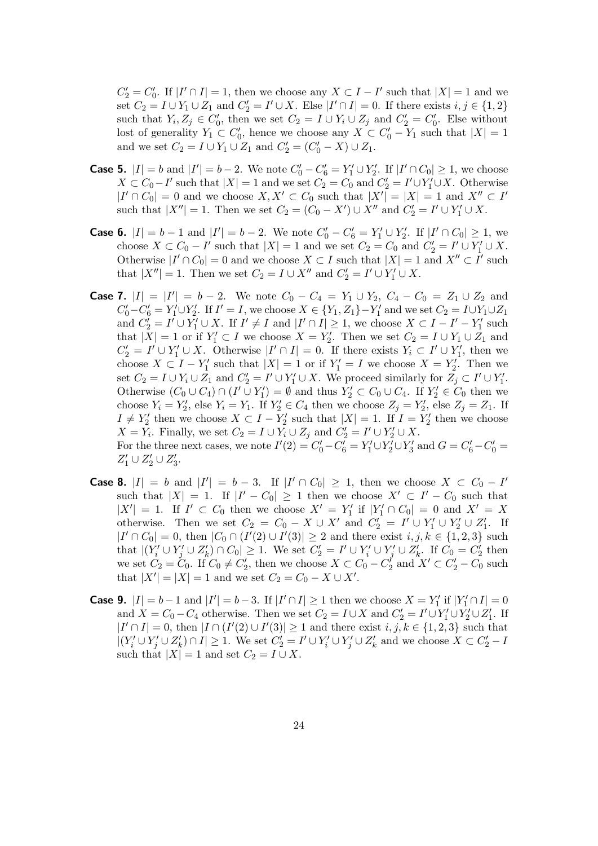$C_2' = C_0'.$  If  $|I' \cap I| = 1$ , then we choose any  $X \subset I - I'$  such that  $|X| = 1$  and we set  $C_2 = I \cup Y_1 \cup Z_1$  and  $C_2' = I' \cup X$ . Else  $|I' \cap I| = 0$ . If there exists  $i, j \in \{1, 2\}$ such that  $Y_i, Z_j \in C'_0$ , then we set  $C_2 = I \cup Y_i \cup Z_j$  and  $C'_2 = C'_0$ . Else without lost of generality  $Y_1 \subset C'_0$ , hence we choose any  $X \subset C'_0 - Y_1$  such that  $|X| = 1$ and we set  $C_2 = I \cup Y_1 \cup Z_1$  and  $C'_2 = (C'_0 - X) \cup Z_1$ .

- **Case 5.**  $|I| = b$  and  $|I'| = b 2$ . We note  $C'_0 C'_6 = Y'_1 \cup Y'_2$ . If  $|I' \cap C_0| \ge 1$ , we choose  $X \subset C_0 - I'$  such that  $|X| = 1$  and we set  $C_2 = C_0$  and  $C'_2 = I' \cup Y'_1 \cup X$ . Otherwise  $|I' \cap C_0| = 0$  and we choose  $X, X' \subset C_0$  such that  $|X'| = |X| = 1$  and  $X'' \subset I'$ such that  $|X''| = 1$ . Then we set  $C_2 = (C_0 - X') \cup X''$  and  $C'_2 = I' \cup Y'_1 \cup X$ .
- **Case 6.**  $|I| = b 1$  and  $|I'| = b 2$ . We note  $C'_0 C'_6 = Y'_1 \cup Y'_2$ . If  $|I' \cap C_0| \ge 1$ , we choose  $X \subset C_0 - I'$  such that  $|X| = 1$  and we set  $C_2 = C_0$  and  $C'_2 = I' \cup Y'_1 \cup X$ . Otherwise  $|I' \cap C_0| = 0$  and we choose  $X \subset I$  such that  $|X| = 1$  and  $X'' \subset I'$  such that  $|X''| = 1$ . Then we set  $C_2 = I \cup X''$  and  $C'_2 = I' \cup Y'_1 \cup X$ .
- **Case 7.**  $|I| = |I'| = b 2$ . We note  $C_0 C_4 = Y_1 \cup Y_2$ ,  $C_4 C_0 = Z_1 \cup Z_2$  and  $C'_0 - C'_6 = Y'_1 \cup Y'_2$ . If  $I' = I$ , we choose  $X \in \{Y_1, Z_1\} - Y'_1$  and we set  $C_2 = I \cup Y_1 \cup Z_1$ and  $C_2' = I' \cup Y_1' \cup X$ . If  $I' \neq I$  and  $|I' \cap I| \geq 1$ , we choose  $X \subset I - I' - Y_1'$  such that  $|X| = 1$  or if  $Y_1' \subset I$  we choose  $X = Y_2'$ . Then we set  $C_2 = I \cup Y_1 \cup Z_1$  and  $C_2' = I' \cup Y_1' \cup X$ . Otherwise  $|I' \cap I| = 0$ . If there exists  $Y_i \subset I' \cup Y_1'$ , then we choose  $X \subset I - Y_1'$  such that  $|X| = 1$  or if  $Y_1' = I$  we choose  $X = Y_2'$ . Then we set  $C_2 = I \cup Y_i \cup Z_1$  and  $C'_2 = I' \cup Y'_1 \cup X$ . We proceed similarly for  $Z_j \subset I' \cup Y'_1$ . Otherwise  $(C_0 \cup C_4) \cap (I' \cup Y'_1) = \emptyset$  and thus  $Y'_2 \subset C_0 \cup C_4$ . If  $Y'_2 \in C_0$  then we choose  $Y_i = Y'_2$ , else  $Y_i = Y_1$ . If  $Y'_2 \in C_4$  then we choose  $Z_j = Y'_2$ , else  $Z_j = Z_1$ . If  $I \neq Y'_2$  then we choose  $X \subset I - Y'_2$  such that  $|X| = 1$ . If  $I = Y'_2$  then we choose  $X = Y_i$ . Finally, we set  $C_2 = I \cup Y_i \cup Z_j$  and  $C'_2 = I' \cup Y'_2 \cup X$ . For the three next cases, we note  $I'(2) = C'_0 - C'_6 = Y'_1 \cup Y'_2 \cup Y'_3$  and  $G = C'_6 - C'_0 = C'_7$  $Z'_1 \cup Z'_2 \cup Z'_3.$
- **Case 8.**  $|I| = b$  and  $|I'| = b 3$ . If  $|I' \cap C_0| \ge 1$ , then we choose  $X \subset C_0 I'$ such that  $|X| = 1$ . If  $|I' - C_0| \ge 1$  then we choose  $X' \subset I' - C_0$  such that  $|X'| = 1$ . If  $I' \subset C_0$  then we choose  $X' = Y'_1$  if  $|Y'_1 \cap C_0| = 0$  and  $X' = X$ otherwise. Then we set  $C_2 = C_0 - X \cup X'$  and  $C_2' = I' \cup Y_1' \cup Y_2' \cup Z_1'$ . If  $|I' \cap C_0| = 0$ , then  $|C_0 \cap (I'(2) \cup I'(3)| \ge 2$  and there exist  $i, j, k \in \{1, 2, 3\}$  such that  $|(Y_i' \cup Y_j' \cup Z_k') \cap C_0| \geq 1$ . We set  $C_2' = I' \cup Y_i' \cup Y_j' \cup Z_k'$ . If  $C_0 = C_2'$  then we set  $C_2 = C_0$ . If  $C_0 \neq C'_2$ , then we choose  $X \subset C_0 - C'_2$  and  $X' \subset C'_2 - C_0$  such that  $|X'| = |X| = 1$  and we set  $C_2 = C_0 - X \cup X'$ .
- **Case 9.**  $|I| = b 1$  and  $|I'| = b 3$ . If  $|I' \cap I| \ge 1$  then we choose  $X = Y'_1$  if  $|Y'_1 \cap I| = 0$ and  $X = C_0 - C_4$  otherwise. Then we set  $C_2 = I \cup X$  and  $C'_2 = I' \cup Y'_1 \cup Y'_2 \cup Z'_1$ . If  $|I' \cap I| = 0$ , then  $|I \cap (I'(2) \cup I'(3)| \ge 1$  and there exist  $i, j, k \in \{1, 2, 3\}$  such that  $|(Y_i' \cup Y_j' \cup Z_k') \cap I| \geq 1$ . We set  $C_2' = I' \cup Y_i' \cup Y_j' \cup Z_k'$  and we choose  $X \subset C_2' - I$ such that  $|X| = 1$  and set  $C_2 = I \cup X$ .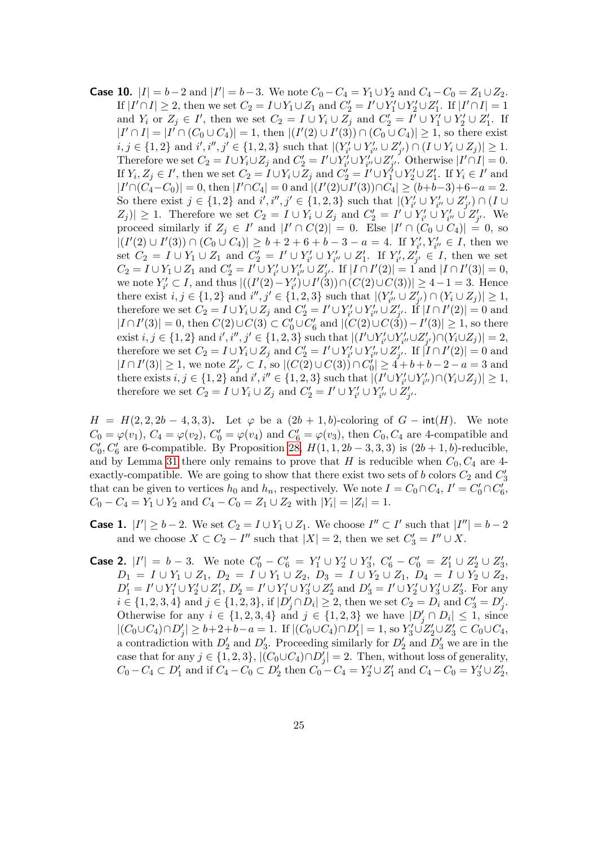**Case 10.**  $|I| = b - 2$  and  $|I'| = b - 3$ . We note  $C_0 - C_4 = Y_1 \cup Y_2$  and  $C_4 - C_0 = Z_1 \cup Z_2$ . If  $|I' \cap I| \geq 2$ , then we set  $C_2 = I \cup Y_1 \cup Z_1$  and  $C_2' = I' \cup Y_1' \cup Y_2' \cup Z_1'$ . If  $|I' \cap I| = 1$ and  $Y_i$  or  $Z_j \in I'$ , then we set  $C_2 = I \cup Y_i \cup Z_j$  and  $C'_2 = I' \cup Y'_1 \cup Y'_2 \cup Z'_1$ . If  $|I' \cap I| = |I' \cap (C_0 \cup C_4)| = 1$ , then  $|(I'(2) \cup I'(3)) \cap (C_0 \cup C_4)| \ge 1$ , so there exist  $i, j \in \{1, 2\}$  and  $i', i'', j' \in \{1, 2, 3\}$  such that  $|(Y'_{i'} \cup Y'_{i''} \cup Z'_{j'}) \cap (I \cup Y_i \cup Z_j)| \geq 1$ . Therefore we set  $C_2 = I \cup Y_i \cup Z_j$  and  $C'_2 = I' \cup Y'_{i'} \cup Y'_{i''} \cup Z'_{j'}$ . Otherwise  $|I' \cap I| = 0$ . If  $Y_i, Z_j \in I'$ , then we set  $C_2 = I \cup Y_i \cup Z_j$  and  $C'_2 = I' \cup Y'_1 \cup Y'_2 \cup Z'_1$ . If  $Y_i \in I'$  and  $|I' \cap (C_4 - C_0)| = 0$ , then  $|I' \cap C_4| = 0$  and  $|(I'(2) \cup I'(3)) \cap C_4| \ge (b+b-3)+6-a=2$ . So there exist  $j \in \{1,2\}$  and  $i', i'', j' \in \{1,2,3\}$  such that  $|(Y'_{i'} \cup Y'_{i''} \cup Z'_{j'}) \cap (I \cup I')$  $|Z_j| \geq 1$ . Therefore we set  $C_2 = I \cup Y_i \cup Z_j$  and  $C'_2 = I' \cup Y'_{i'} \cup Y'_{i''} \cup Z'_{j'}$ . We proceed similarly if  $Z_j \in I'$  and  $|I' \cap C(2)| = 0$ . Else  $|I' \cap (C_0 \cup C_4)| = 0$ , so  $|(I'(2) \cup I'(3)) \cap (C_0 \cup C_4)| \geq b+2+6+b-3-a=4.$  If  $Y'_{i'}, Y'_{i''} \in I$ , then we set  $C_2 = I \cup Y_1 \cup Z_1$  and  $C'_2 = I' \cup Y'_{i'} \cup Y'_{i''} \cup Z'_1$ . If  $Y'_{i'}, Z'_{j'} \in I$ , then we set  $C_2 = I \cup Y_1 \cup Z_1$  and  $C'_2 = I' \cup Y'_{i'} \cup Y'_{i''} \cup Z'_{j'}$ . If  $|I \cap I'(2)| = 1$  and  $|I \cap I'(3)| = 0$ , we note  $Y'_{i'} \subset I$ , and thus  $|((I'(2) - Y'_{i'}) \cup I'(3)) \cap (C(2) \cup C(3))| \ge 4 - 1 = 3$ . Hence there exist  $i, j \in \{1, 2\}$  and  $i'', j' \in \{1, 2, 3\}$  such that  $|(Y'_{i''} \cup Z'_{j'}) \cap (Y_i \cup Z_j)| \geq 1$ , therefore we set  $C_2 = I \cup Y_i \cup Z_j$  and  $C'_2 = I' \cup Y'_{i'} \cup Y'_{i''} \cup Z'_{j'}$ . If  $|I \cap I'(2)| = 0$  and  $|I \cap I'(3)| = 0$ , then  $C(2) \cup C(3) \subset C'_0 \cup C'_6$  and  $|(C(2) \cup C(3)) - I'(3)| \ge 1$ , so there exist  $i, j \in \{1, 2\}$  and  $i', i'', j' \in \{1, 2, 3\}$  such that  $|(I' \cup Y'_{i'} \cup Y'_{i''} \cup Z'_{j'}) \cap (Y_i \cup Z_j)| = 2$ , therefore we set  $C_2 = I \cup Y_i \cup Z_j$  and  $C'_2 = I' \cup Y'_{i'} \cup Y'_{i''} \cup Z'_{j'}$ . If  $|I \cap I'(2)| = 0$  and  $|I \cap I'(3)| \geq 1$ , we note  $Z'_{j'} \subset I$ , so  $|(C(2) \cup C(3)) \cap C'_0| \geq 4 + b + b - 2 - a = 3$  and there exists  $i, j \in \{1, 2\}$  and  $i', i'' \in \{1, 2, 3\}$  such that  $|(I' \cup Y'_{i'} \cup Y'_{i''}) \cap (Y_i \cup Z_j)| \geq 1$ , therefore we set  $C_2 = I \cup Y_i \cup Z_j$  and  $C'_2 = I' \cup Y'_{i'} \cup Y'_{i''} \cup Z'_{j'}$ .

 $H = H(2, 2, 2b - 4, 3, 3)$ . Let  $\varphi$  be a  $(2b + 1, b)$ -coloring of  $G - \text{int}(H)$ . We note  $C_0 = \varphi(v_1)$ ,  $C_4 = \varphi(v_2)$ ,  $C'_0 = \varphi(v_4)$  and  $C'_6 = \varphi(v_3)$ , then  $C_0$ ,  $C_4$  are 4-compatible and  $C'_0, C'_6$  are 6-compatible. By Proposition [28,](#page-18-0)  $H(1, 1, 2b-3, 3, 3)$  is  $(2b+1, b)$ -reducible, and by Lemma [31](#page-19-0) there only remains to prove that H is reducible when  $C_0, C_4$  are 4exactly-compatible. We are going to show that there exist two sets of b colors  $C_2$  and  $C_3$ that can be given to vertices  $h_0$  and  $h_n$ , respectively. We note  $I = C_0 \cap C_4$ ,  $I' = C'_0 \cap C'_6$ ,  $C_0 - C_4 = Y_1 \cup Y_2$  and  $C_4 - C_0 = Z_1 \cup Z_2$  with  $|Y_i| = |Z_i| = 1$ .

- **Case 1.**  $|I'| \ge b 2$ . We set  $C_2 = I \cup Y_1 \cup Z_1$ . We choose  $I'' \subset I'$  such that  $|I''| = b 2$ and we choose  $X \subset C_2 - I''$  such that  $|X| = 2$ , then we set  $C'_3 = I'' \cup X$ .
- **Case 2.**  $|I'| = b 3$ . We note  $C'_0 C'_6 = Y'_1 \cup Y'_2 \cup Y'_3$ ,  $C'_6 C'_0 = Z'_1 \cup Z'_2 \cup Z'_3$ ,  $D_1 = I \cup Y_1 \cup Z_1, D_2 = I \cup Y_1 \cup Z_2, D_3 = I \cup Y_2 \cup Z_1, D_4 = I \cup Y_2 \cup Z_2,$  $D'_1 = I' \cup Y'_1 \cup Y'_2 \cup Z'_1$ ,  $D'_2 = I' \cup Y'_1 \cup Y'_3 \cup Z'_2$  and  $D'_3 = I' \cup Y'_2 \cup Y'_3 \cup Z'_3$ . For any  $i \in \{1, 2, 3, 4\}$  and  $j \in \{1, 2, 3\}$ , if  $|D'_j \cap D_i| \ge 2$ , then we set  $C_2 = D_i$  and  $C'_3 = D'_j$ . Otherwise for any  $i \in \{1, 2, 3, 4\}$  and  $j \in \{1, 2, 3\}$  we have  $|D'_j \cap D_i| \leq 1$ , since  $|(C_0 \cup C_4) \cap D'_j| \geq b+2+b-a = 1$ . If  $|(C_0 \cup C_4) \cap D'_1| = 1$ , so  $Y'_3 \cup Z'_2 \cup Z'_3 \subset C_0 \cup C_4$ , a contradiction with  $D'_2$  and  $D'_3$ . Proceeding similarly for  $D'_2$  and  $D'_3$  we are in the case that for any  $j \in \{1, 2, 3\}, |(C_0 \cup C_4) \cap D'_j| = 2$ . Then, without loss of generality,  $C_0 - C_4 \subset D'_1$  and if  $C_4 - C_0 \subset D'_2$  then  $C_0 - C_4 = Y'_2 \cup Z'_1$  and  $C_4 - C_0 = Y'_3 \cup Z'_2$ ,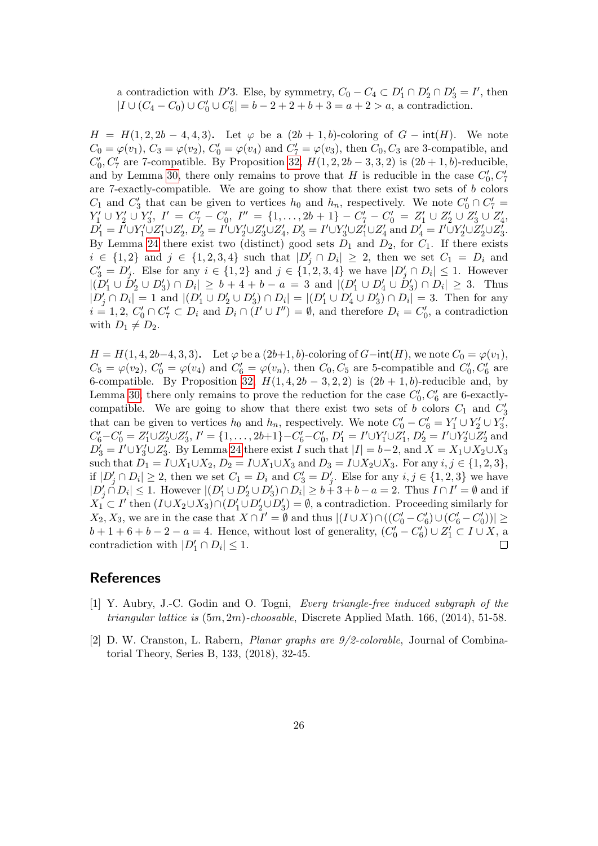a contradiction with D'3. Else, by symmetry,  $C_0 - C_4 \subset D'_1 \cap D'_2 \cap D'_3 = I'$ , then  $|I \cup (C_4 - C_0) \cup C'_0 \cup C'_6| = b - 2 + 2 + b + 3 = a + 2 > a$ , a contradiction.

 $H = H(1, 2, 2b - 4, 4, 3)$ . Let  $\varphi$  be a  $(2b + 1, b)$ -coloring of  $G - \text{int}(H)$ . We note  $C_0 = \varphi(v_1)$ ,  $C_3 = \varphi(v_2)$ ,  $C'_0 = \varphi(v_4)$  and  $C'_7 = \varphi(v_3)$ , then  $C_0$ ,  $C_3$  are 3-compatible, and  $C'_0, C'_7$  are 7-compatible. By Proposition [32,](#page-20-0)  $H(1, 2, 2b-3, 3, 2)$  is  $(2b+1, b)$ -reducible, and by Lemma [30,](#page-19-1) there only remains to prove that H is reducible in the case  $C'_0, C'_7$ are 7-exactly-compatible. We are going to show that there exist two sets of b colors  $C_1$  and  $C'_3$  that can be given to vertices  $h_0$  and  $h_n$ , respectively. We note  $C'_0 \cap C'_7$  $Y'_1 \cup Y'_2 \cup Y'_3$ ,  $I' = C'_7 - C'_0$ ,  $I'' = \{1, ..., 2b + 1\} - C'_7 - C'_0 = Z'_1 \cup Z'_2 \cup Z'_3 \cup Z'_4$ ,  $D_1' = I' \cup Y_1' \cup Z_1' \cup Z_2', D_2' = I' \cup Y_2' \cup Z_3' \cup Z_4', D_3' = I' \cup Y_3' \cup Z_1' \cup Z_4'$  and  $D_4' = I' \cup Y_2' \cup Z_2' \cup Z_3'.$ By Lemma [24](#page-15-1) there exist two (distinct) good sets  $D_1$  and  $D_2$ , for  $C_1$ . If there exists  $i \in \{1,2\}$  and  $j \in \{1,2,3,4\}$  such that  $|D'_j \cap D_i| \geq 2$ , then we set  $C_1 = D_i$  and  $C'_3 = D'_j$ . Else for any  $i \in \{1,2\}$  and  $j \in \{1,2,3,4\}$  we have  $|D'_j \cap D_i| \leq 1$ . However  $|(D'_1 \cup D'_2 \cup D'_3) \cap D_i| \geq b+4+b-a=3$  and  $|(D'_1 \cup D'_4 \cup D'_3) \cap D_i| \geq 3$ . Thus  $|D'_j \cap D_i| = 1$  and  $|(D'_1 \cup D'_2 \cup D'_3) \cap D_i| = |(D'_1 \cup D'_4 \cup D'_3) \cap D_i| = 3$ . Then for any  $i = 1, 2, C'_0 \cap C'_7 \subset D_i$  and  $D_i \cap (I' \cup I'') = \emptyset$ , and therefore  $D_i = C'_0$ , a contradiction with  $D_1 \neq D_2$ .

 $H = H(1, 4, 2b-4, 3, 3)$ . Let  $\varphi$  be a  $(2b+1, b)$ -coloring of  $G$ −int $(H)$ , we note  $C_0 = \varphi(v_1)$ ,  $C_5 = \varphi(v_2)$ ,  $C'_0 = \varphi(v_4)$  and  $C'_6 = \varphi(v_n)$ , then  $C_0$ ,  $C_5$  are 5-compatible and  $C'_0$ ,  $C'_6$  are 6-compatible. By Proposition [32,](#page-20-0)  $H(1, 4, 2b - 3, 2, 2)$  is  $(2b + 1, b)$ -reducible and, by Lemma [30,](#page-19-1) there only remains to prove the reduction for the case  $C'_0, C'_6$  are 6-exactlycompatible. We are going to show that there exist two sets of b colors  $C_1$  and  $C'_3$ that can be given to vertices  $h_0$  and  $h_n$ , respectively. We note  $C'_0 - C'_6 = Y'_1 \cup Y'_2 \cup Y'_3$ ,  $C'_6 - C'_0 = Z'_1 \cup Z'_2 \cup Z'_3$ ,  $I' = \{1, ..., 2b+1\} - C'_6 - C'_0$ ,  $D'_1 = I' \cup Y'_1 \cup Z'_1$ ,  $D'_2 = I' \cup Y'_2 \cup Z'_2$  and  $D_3' = I' \cup Y_3' \cup Z_3'$ . By Lemma [24](#page-15-1) there exist I such that  $|I| = b-2$ , and  $X = X_1 \cup X_2 \cup X_3$ such that  $D_1 = I \cup X_1 \cup X_2$ ,  $D_2 = I \cup X_1 \cup X_3$  and  $D_3 = I \cup X_2 \cup X_3$ . For any  $i, j \in \{1, 2, 3\}$ , if  $|D'_j \cap D_i| \geq 2$ , then we set  $C_1 = D_i$  and  $C'_3 = D'_j$ . Else for any  $i, j \in \{1, 2, 3\}$  we have  $|D'_j \cap D_i| \leq 1$ . However  $|(D'_1 \cup D'_2 \cup D'_3) \cap D_i| \geq b+3+b-a=2$ . Thus  $I \cap I' = \emptyset$  and if  $X_1 \subset I'$  then  $(I \cup X_2 \cup X_3) \cap (D'_1 \cup D'_2 \cup D'_3) = \emptyset$ , a contradiction. Proceeding similarly for  $X_2, X_3$ , we are in the case that  $X \cap I' = \emptyset$  and thus  $|(I \cup X) \cap ((C_0' - C_6') \cup (C_6' - C_0'))| \ge$  $b+1+6+b-2-a=4$ . Hence, without lost of generality,  $(C'_0 - C'_6) \cup Z'_1 \subset I \cup X$ , a contradiction with  $|D'_1 \cap D_i| \leq 1$ .  $\Box$ 

## References

- <span id="page-25-1"></span>[1] Y. Aubry, J.-C. Godin and O. Togni, Every triangle-free induced subgraph of the *triangular lattice is*  $(5m, 2m)$ -*choosable*, Discrete Applied Math. 166,  $(2014)$ , 51-58.
- <span id="page-25-0"></span>[2] D. W. Cranston, L. Rabern, Planar graphs are 9/2-colorable, Journal of Combinatorial Theory, Series B, 133, (2018), 32-45.